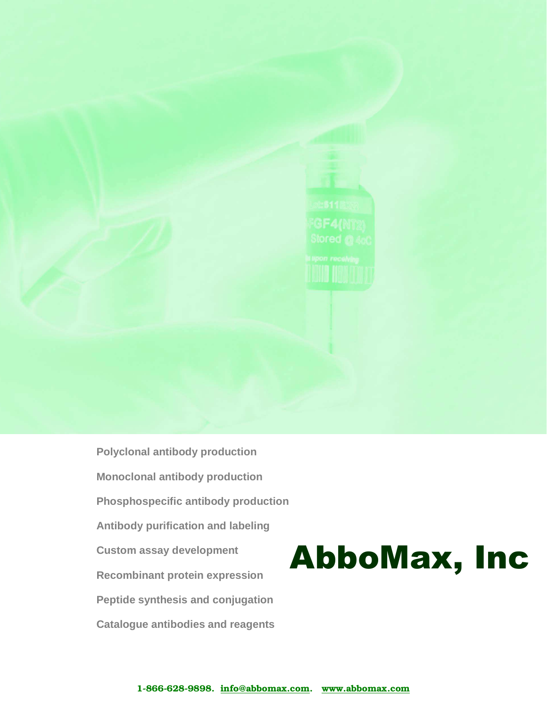

**Polyclonal antibody production Monoclonal antibody production Phosphospecific antibody production Antibody purification and labeling Custom assay development Recombinant protein expression Peptide synthesis and conjugation Catalogue antibodies and reagents**

# AbboMax, Inc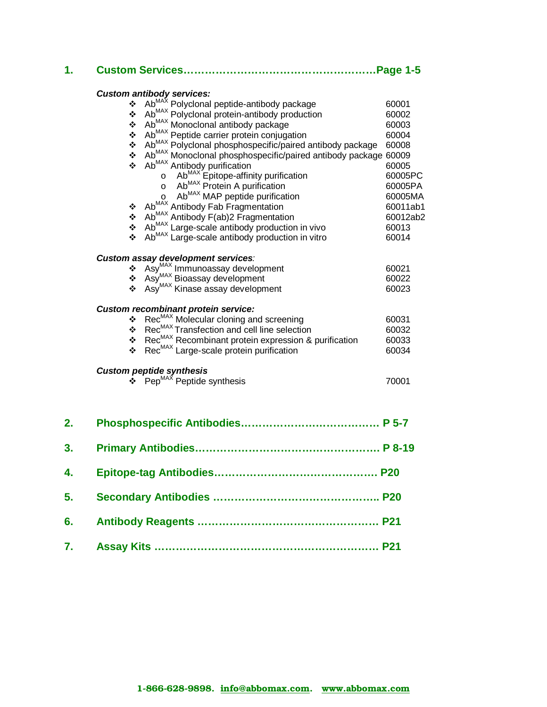| 1. |                                                                                                                                                                                                                                     |          |  |  |  |  |  |  |  |  |
|----|-------------------------------------------------------------------------------------------------------------------------------------------------------------------------------------------------------------------------------------|----------|--|--|--|--|--|--|--|--|
|    |                                                                                                                                                                                                                                     |          |  |  |  |  |  |  |  |  |
|    | <b>Custom antibody services:</b><br>$\text{Ab}^{\text{MAX}}_{\text{max}}$ Polyclonal peptide-antibody package                                                                                                                       | 60001    |  |  |  |  |  |  |  |  |
|    | Ab <sup>MAX</sup> Polyclonal protein-antibody production<br>❖                                                                                                                                                                       | 60002    |  |  |  |  |  |  |  |  |
|    | Ab <sup>MAX</sup> Monoclonal antibody package<br>❖                                                                                                                                                                                  | 60003    |  |  |  |  |  |  |  |  |
|    | Ab <sup>MAX</sup> Peptide carrier protein conjugation<br>❖                                                                                                                                                                          | 60004    |  |  |  |  |  |  |  |  |
|    | Ab <sup>MAX</sup> Polyclonal phosphospecific/paired antibody package<br>❖                                                                                                                                                           | 60008    |  |  |  |  |  |  |  |  |
|    | Ab <sup>MAX</sup> Monoclonal phosphospecific/paired antibody package 60009<br>❖                                                                                                                                                     |          |  |  |  |  |  |  |  |  |
|    | ÷                                                                                                                                                                                                                                   |          |  |  |  |  |  |  |  |  |
|    | Ab <sup>MAX</sup> Antibody purification                                                                                                                                                                                             | 60005    |  |  |  |  |  |  |  |  |
|    | AD Antibody punication<br>$\circ$ Ab <sup>MAX</sup> Epitope-affinity purification<br>$\circ$ Ab <sup>MAX</sup> Protein A purification<br>Ab <sup>MAX</sup> MAP peptide purification<br>Ab <sup>MAX</sup> Antibody Fab Fragmentation | 60005PC  |  |  |  |  |  |  |  |  |
|    |                                                                                                                                                                                                                                     | 60005PA  |  |  |  |  |  |  |  |  |
|    |                                                                                                                                                                                                                                     | 60005MA  |  |  |  |  |  |  |  |  |
|    | ❖                                                                                                                                                                                                                                   | 60011ab1 |  |  |  |  |  |  |  |  |
|    | ❖ Ab <sup>MAX</sup> Antibody F(ab)2 Fragmentation                                                                                                                                                                                   | 60012ab2 |  |  |  |  |  |  |  |  |
|    | * Ab <sup>MAX</sup> Large-scale antibody production in vivo                                                                                                                                                                         | 60013    |  |  |  |  |  |  |  |  |
|    | Ab <sup>MAX</sup> Large-scale antibody production in vitro                                                                                                                                                                          | 60014    |  |  |  |  |  |  |  |  |
|    | Custom assay development services:                                                                                                                                                                                                  |          |  |  |  |  |  |  |  |  |
|    |                                                                                                                                                                                                                                     | 60021    |  |  |  |  |  |  |  |  |
|    |                                                                                                                                                                                                                                     | 60022    |  |  |  |  |  |  |  |  |
|    | Asy <sup>MAX</sup> Immunoassay development<br><b>*</b> Asy <sup>MAX</sup> Bioassay development<br><b>*</b> Asy <sup>MAX</sup> Kinase assay development<br><b>*</b> Asy <sup>MAX</sup> Kinase assay development                      | 60023    |  |  |  |  |  |  |  |  |
|    | <b>Custom recombinant protein service:</b>                                                                                                                                                                                          |          |  |  |  |  |  |  |  |  |
|    | ❖ Rec <sup>MAX</sup> Molecular cloning and screening                                                                                                                                                                                | 60031    |  |  |  |  |  |  |  |  |
|    | Rec <sup>MAX</sup> Transfection and cell line selection<br>$\bullet$ Rec <sup>MAX</sup> Transfection and cell line selection<br>$\bullet$ Rec <sub>MAX</sub> Recombinant protein expression & purification                          | 60032    |  |  |  |  |  |  |  |  |
|    |                                                                                                                                                                                                                                     | 60033    |  |  |  |  |  |  |  |  |
|    | Rec <sup>MAX</sup> Large-scale protein purification<br>$\mathbf{A}$                                                                                                                                                                 | 60034    |  |  |  |  |  |  |  |  |
|    |                                                                                                                                                                                                                                     |          |  |  |  |  |  |  |  |  |
|    | <b>Custom peptide synthesis</b><br>$\div$ Pep <sup>MAX</sup> Peptide synthesis                                                                                                                                                      | 70001    |  |  |  |  |  |  |  |  |
|    |                                                                                                                                                                                                                                     |          |  |  |  |  |  |  |  |  |
| 2. |                                                                                                                                                                                                                                     |          |  |  |  |  |  |  |  |  |
|    |                                                                                                                                                                                                                                     |          |  |  |  |  |  |  |  |  |
| 3. |                                                                                                                                                                                                                                     |          |  |  |  |  |  |  |  |  |
| 4. |                                                                                                                                                                                                                                     |          |  |  |  |  |  |  |  |  |
| 5. |                                                                                                                                                                                                                                     |          |  |  |  |  |  |  |  |  |
| 6. |                                                                                                                                                                                                                                     |          |  |  |  |  |  |  |  |  |
|    |                                                                                                                                                                                                                                     |          |  |  |  |  |  |  |  |  |
| 7. |                                                                                                                                                                                                                                     |          |  |  |  |  |  |  |  |  |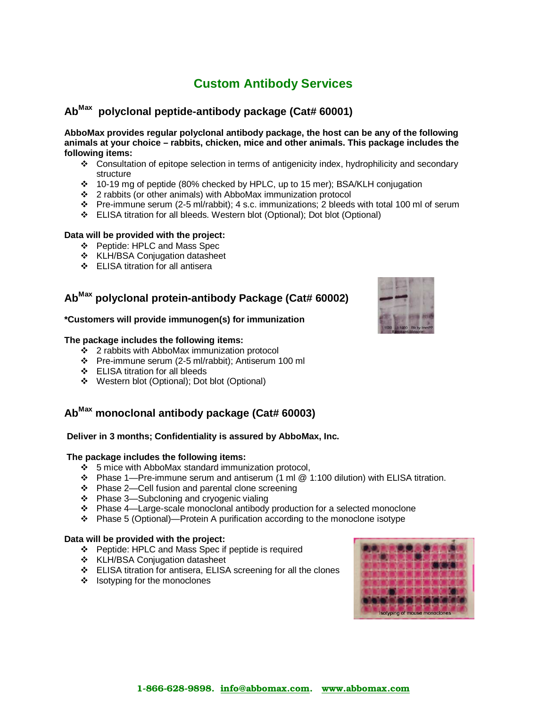## **Custom Antibody Services**

#### **AbMax polyclonal peptide-antibody package (Cat# 60001)**

**AbboMax provides regular polyclonal antibody package, the host can be any of the following animals at your choice – rabbits, chicken, mice and other animals. This package includes the following items:**

- Consultation of epitope selection in terms of antigenicity index, hydrophilicity and secondary structure
- 10-19 mg of peptide (80% checked by HPLC, up to 15 mer); BSA/KLH conjugation
- 2 rabbits (or other animals) with AbboMax immunization protocol
- Pre-immune serum (2-5 ml/rabbit); 4 s.c. immunizations; 2 bleeds with total 100 ml of serum
- ELISA titration for all bleeds. Western blot (Optional); Dot blot (Optional)

#### **Data will be provided with the project:**

- Peptide: HPLC and Mass Spec
- ❖ KLH/BSA Conjugation datasheet
- ELISA titration for all antisera

## **AbMax polyclonal protein-antibody Package (Cat# 60002)**

#### **\*Customers will provide immunogen(s) for immunization**

#### **The package includes the following items:**

- $\cdot \cdot$  2 rabbits with AbboMax immunization protocol
- Pre-immune serum (2-5 ml/rabbit); Antiserum 100 ml
- ELISA titration for all bleeds
- Western blot (Optional); Dot blot (Optional)

## **AbMax monoclonal antibody package (Cat# 60003)**

#### **Deliver in 3 months; Confidentiality is assured by AbboMax, Inc.**

#### **The package includes the following items:**

- 5 mice with AbboMax standard immunization protocol,
- Phase 1—Pre-immune serum and antiserum (1 ml @ 1:100 dilution) with ELISA titration.
- Phase 2—Cell fusion and parental clone screening
- ❖ Phase 3—Subcloning and cryogenic vialing
- Phase 4—Large-scale monoclonal antibody production for a selected monoclone
- Phase 5 (Optional)—Protein A purification according to the monoclone isotype

#### **Data will be provided with the project:**

- Peptide: HPLC and Mass Spec if peptide is required
- \* KLH/BSA Conjugation datasheet
- ELISA titration for antisera, ELISA screening for all the clones
- $\div$  Isotyping for the monoclones



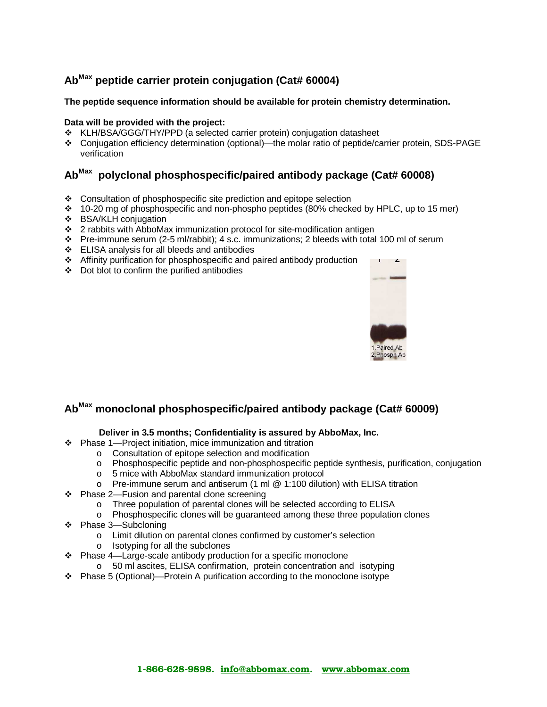## **AbMax peptide carrier protein conjugation (Cat# 60004)**

#### **The peptide sequence information should be available for protein chemistry determination.**

#### **Data will be provided with the project:**

- KLH/BSA/GGG/THY/PPD (a selected carrier protein) conjugation datasheet
- Conjugation efficiency determination (optional)—the molar ratio of peptide/carrier protein, SDS-PAGE verification

## **AbMax polyclonal phosphospecific/paired antibody package (Cat# 60008)**

- $\div$  Consultation of phosphospecific site prediction and epitope selection
- $\cdot$  10-20 mg of phosphospecific and non-phospho peptides (80% checked by HPLC, up to 15 mer)
- ❖ BSA/KLH coniugation
- 2 rabbits with AbboMax immunization protocol for site-modification antigen
- Pre-immune serum (2-5 ml/rabbit); 4 s.c. immunizations; 2 bleeds with total 100 ml of serum
- ELISA analysis for all bleeds and antibodies
- Affinity purification for phosphospecific and paired antibody production
- Dot blot to confirm the purified antibodies



## **AbMax monoclonal phosphospecific/paired antibody package (Cat# 60009)**

#### **Deliver in 3.5 months; Confidentiality is assured by AbboMax, Inc.**

- Phase 1—Project initiation, mice immunization and titration
	- o Consultation of epitope selection and modification
	- o Phosphospecific peptide and non-phosphospecific peptide synthesis, purification, conjugation
	- o 5 mice with AbboMax standard immunization protocol
	- o Pre-immune serum and antiserum (1 ml @ 1:100 dilution) with ELISA titration
- ❖ Phase 2—Fusion and parental clone screening
	- o Three population of parental clones will be selected according to ELISA
	- o Phosphospecific clones will be guaranteed among these three population clones
- Phase 3—Subcloning
	- o Limit dilution on parental clones confirmed by customer's selection
	- o Isotyping for all the subclones
- Phase 4—Large-scale antibody production for a specific monoclone
	- o 50 ml ascites, ELISA confirmation, protein concentration and isotyping
- Phase 5 (Optional)—Protein A purification according to the monoclone isotype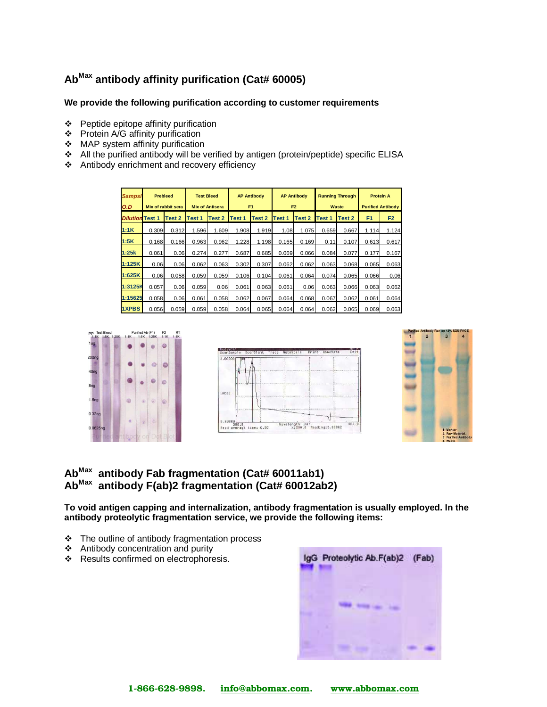## **AbMax antibody affinity purification (Cat# 60005)**

#### **We provide the following purification according to customer requirements**

- $\div$  Peptide epitope affinity purification
- $\div$  Protein A/G affinity purification
- MAP system affinity purification
- All the purified antibody will be verified by antigen (protein/peptide) specific ELISA
- Antibody enrichment and recovery efficiency

| <b>Sampsi</b><br>O.D |        | <b>Prebleed</b><br>Mix of rabbit sera |                   | <b>Test Bleed</b><br><b>Mix of Antisera</b> |               | <b>AP Antibody</b><br>F <sub>1</sub> | <b>AP Antibody</b><br>F <sub>2</sub> |        | <b>Running Through</b><br><b>Protein A</b><br><b>Purified Antibody</b> |        | Waste          |                |  |
|----------------------|--------|---------------------------------------|-------------------|---------------------------------------------|---------------|--------------------------------------|--------------------------------------|--------|------------------------------------------------------------------------|--------|----------------|----------------|--|
| <b>Dilution</b>      | Test 1 | Test 2                                | Test <sub>1</sub> | Test 2                                      | <b>Test 1</b> | Test 2                               | Test 1                               | Test 2 | Test 1                                                                 | Test 2 | F <sub>1</sub> | F <sub>2</sub> |  |
| 1:1K                 | 0.309  | 0.312                                 | 1.596             | 1.609                                       | 1.908         | 1.919                                | 1.08                                 | 1.075  | 0.659                                                                  | 0.667  | 1.114          | 1.124          |  |
| 1:5K                 | 0.168  | 0.166                                 | 0.963             | 0.962                                       | 1.228         | 1.198                                | 0.165                                | 0.169  | 0.11                                                                   | 0.107  | 0.613          | 0.617          |  |
| 1:25k                | 0.061  | 0.06                                  | 0.274             | 0.277                                       | 0.687         | 0.685                                | 0.069                                | 0.066  | 0.084                                                                  | 0.077  | 0.177          | 0.167          |  |
| 1:125K               | 0.06   | 0.06                                  | 0.062             | 0.063                                       | 0.302         | 0.307                                | 0.062                                | 0.062  | 0.063                                                                  | 0.068  | 0.065          | 0.063          |  |
| 1:625K               | 0.06   | 0.058                                 | 0.059             | 0.059                                       | 0.106         | 0.104                                | 0.061                                | 0.064  | 0.074                                                                  | 0.065  | 0.066          | 0.06           |  |
| 1:3125K              | 0.057  | 0.06                                  | 0.059             | 0.06                                        | 0.061         | 0.063                                | 0.061                                | 0.06   | 0.063                                                                  | 0.066  | 0.063          | 0.062          |  |
| 1:15625              | 0.058  | 0.06                                  | 0.061             | 0.058                                       | 0.062         | 0.067                                | 0.064                                | 0.068  | 0.067                                                                  | 0.062  | 0.061          | 0.064          |  |
| <b>1XPBS</b>         | 0.056  | 0.059                                 | 0.059             | 0.058                                       | 0.064         | 0.065                                | 0.064                                | 0.064  | 0.062                                                                  | 0.065  | 0.069          | 0.063          |  |







## **AbMax antibody Fab fragmentation (Cat# 60011ab1) AbMax antibody F(ab)2 fragmentation (Cat# 60012ab2)**

**To void antigen capping and internalization, antibody fragmentation is usually employed. In the antibody proteolytic fragmentation service, we provide the following items:** 

- The outline of antibody fragmentation process
- Antibody concentration and purity
- ❖ Results confirmed on electrophoresis.

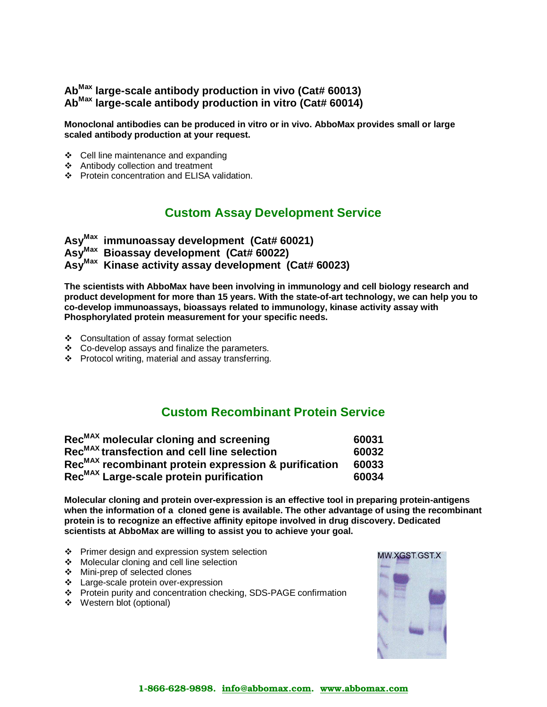## **AbMax large-scale antibody production in vivo (Cat# 60013) AbMax large-scale antibody production in vitro (Cat# 60014)**

**Monoclonal antibodies can be produced in vitro or in vivo. AbboMax provides small or large scaled antibody production at your request.** 

- ❖ Cell line maintenance and expanding
- Antibody collection and treatment
- ❖ Protein concentration and ELISA validation.

## **Custom Assay Development Service**

**AsyMax immunoassay development (Cat# 60021) AsyMax Bioassay development (Cat# 60022) AsyMax Kinase activity assay development (Cat# 60023)** 

**The scientists with AbboMax have been involving in immunology and cell biology research and product development for more than 15 years. With the state-of-art technology, we can help you to co-develop immunoassays, bioassays related to immunology, kinase activity assay with Phosphorylated protein measurement for your specific needs.** 

- Consultation of assay format selection
- Co-develop assays and finalize the parameters.
- Protocol writing, material and assay transferring.

## **Custom Recombinant Protein Service**

| Rec <sup>MAX</sup> molecular cloning and screening               | 60031 |
|------------------------------------------------------------------|-------|
| Rec <sup>MAX</sup> transfection and cell line selection          | 60032 |
| Rec <sup>MAX</sup> recombinant protein expression & purification | 60033 |
| Rec <sup>MAX</sup> Large-scale protein purification              | 60034 |

**Molecular cloning and protein over-expression is an effective tool in preparing protein-antigens when the information of a cloned gene is available. The other advantage of using the recombinant protein is to recognize an effective affinity epitope involved in drug discovery. Dedicated scientists at AbboMax are willing to assist you to achieve your goal.** 

- ❖ Primer design and expression system selection
- ❖ Molecular cloning and cell line selection
- Mini-prep of selected clones
- Large-scale protein over-expression
- Protein purity and concentration checking, SDS-PAGE confirmation
- Western blot (optional)

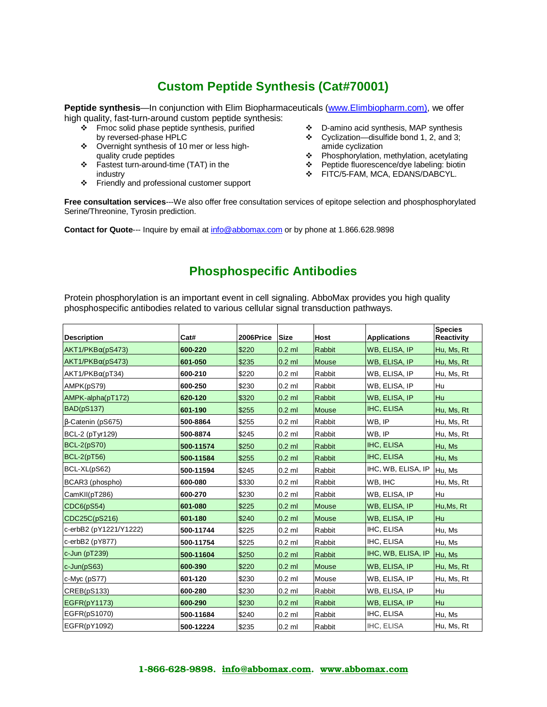## **Custom Peptide Synthesis (Cat#70001)**

Peptide synthesis—In conjunction with Elim Biopharmaceuticals (www.Elimbiopharm.com), we offer high quality, fast-turn-around custom peptide synthesis:

- \* Fmoc solid phase peptide synthesis, purified by reversed-phase HPLC
- Overnight synthesis of 10 mer or less highquality crude peptides
- Fastest turn-around-time (TAT) in the industry
- Friendly and professional customer support
- D-amino acid synthesis, MAP synthesis
- $\div$  Cyclization—disulfide bond 1, 2, and 3; amide cyclization
- Phosphorylation, methylation, acetylating
- Peptide fluorescence/dye labeling: biotin
- **\*** FITC/5-FAM, MCA, EDANS/DABCYL.

**Free consultation services**---We also offer free consultation services of epitope selection and phosphosphorylated Serine/Threonine, Tyrosin prediction.

**Contact for Quote**--- Inquire by email at info@abbomax.com or by phone at 1.866.628.9898

## **Phosphospecific Antibodies**

Protein phosphorylation is an important event in cell signaling. AbboMax provides you high quality phosphospecific antibodies related to various cellular signal transduction pathways.

| <b>Description</b>      | Cat#      | 2006Price | <b>Size</b> | Host          | <b>Applications</b>  | <b>Species</b><br><b>Reactivity</b> |
|-------------------------|-----------|-----------|-------------|---------------|----------------------|-------------------------------------|
| $AKT1/PKB\alpha(pS473)$ | 600-220   | \$220     | $0.2$ ml    | Rabbit        | WB, ELISA, IP        | Hu, Ms, Rt                          |
| $AKT1/PKB\alpha(pS473)$ | 601-050   | \$235     | $0.2$ ml    | Mouse         | WB, ELISA, IP        | Hu, Ms, Rt                          |
| $AKT1/PKB\alpha(pT34)$  | 600-210   | \$220     | $0.2$ ml    | Rabbit        | WB, ELISA, IP        | Hu, Ms, Rt                          |
| AMPK(pS79)              | 600-250   | \$230     | $0.2$ ml    | Rabbit        | WB, ELISA, IP        | Hu                                  |
| AMPK-alpha(pT172)       | 620-120   | \$320     | $0.2$ ml    | <b>Rabbit</b> | <b>WB. ELISA. IP</b> | Hu                                  |
| <b>BAD(pS137)</b>       | 601-190   | \$255     | $0.2$ ml    | <b>Mouse</b>  | IHC, ELISA           | Hu, Ms, Rt                          |
| B-Catenin (pS675)       | 500-8864  | \$255     | $0.2$ ml    | Rabbit        | WB, IP               | Hu, Ms, Rt                          |
| <b>BCL-2 (pTyr129)</b>  | 500-8874  | \$245     | $0.2$ ml    | Rabbit        | WB, IP               | Hu, Ms, Rt                          |
| BCL-2(pS70)             | 500-11574 | \$250     | $0.2$ ml    | Rabbit        | <b>IHC, ELISA</b>    | Hu, Ms                              |
| <b>BCL-2(pT56)</b>      | 500-11584 | \$255     | $0.2$ ml    | <b>Rabbit</b> | <b>IHC, ELISA</b>    | Hu, Ms                              |
| BCL-XL(pS62)            | 500-11594 | \$245     | $0.2$ ml    | Rabbit        | IHC, WB, ELISA, IP   | Hu, Ms                              |
| BCAR3 (phospho)         | 600-080   | \$330     | $0.2$ ml    | Rabbit        | WB, IHC              | Hu, Ms, Rt                          |
| CamKII(pT286)           | 600-270   | \$230     | $0.2$ ml    | Rabbit        | WB, ELISA, IP        | Hu                                  |
| CDC6(pS54)              | 601-080   | \$225     | $0.2$ ml    | <b>Mouse</b>  | WB, ELISA, IP        | Hu, Ms, Rt                          |
| CDC25C(pS216)           | 601-180   | \$240     | $0.2$ ml    | Mouse         | WB, ELISA, IP        | Hu                                  |
| c-erbB2 (pY1221/Y1222)  | 500-11744 | \$225     | $0.2$ ml    | Rabbit        | IHC, ELISA           | Hu, Ms                              |
| c-erbB2 (pY877)         | 500-11754 | \$225     | $0.2$ ml    | Rabbit        | IHC, ELISA           | Hu, Ms                              |
| $c$ -Jun (pT239)        | 500-11604 | \$250     | $0.2$ ml    | <b>Rabbit</b> | IHC, WB, ELISA, IP   | Hu, Ms                              |
| $c$ -Jun( $pS63$ )      | 600-390   | \$220     | $0.2$ ml    | <b>Mouse</b>  | <b>WB, ELISA, IP</b> | Hu, Ms, Rt                          |
| $c$ -Myc $(pS77)$       | 601-120   | \$230     | $0.2$ ml    | Mouse         | WB, ELISA, IP        | Hu, Ms, Rt                          |
| CREB(pS133)             | 600-280   | \$230     | $0.2$ ml    | Rabbit        | WB, ELISA, IP        | Hu                                  |
| EGFR(pY1173)            | 600-290   | \$230     | $0.2$ ml    | <b>Rabbit</b> | WB, ELISA, IP        | Hu                                  |
| EGFR(pS1070)            | 500-11684 | \$240     | $0.2$ ml    | Rabbit        | IHC, ELISA           | Hu, Ms                              |
| EGFR(pY1092)            | 500-12224 | \$235     | $0.2$ ml    | Rabbit        | IHC, ELISA           | Hu, Ms, Rt                          |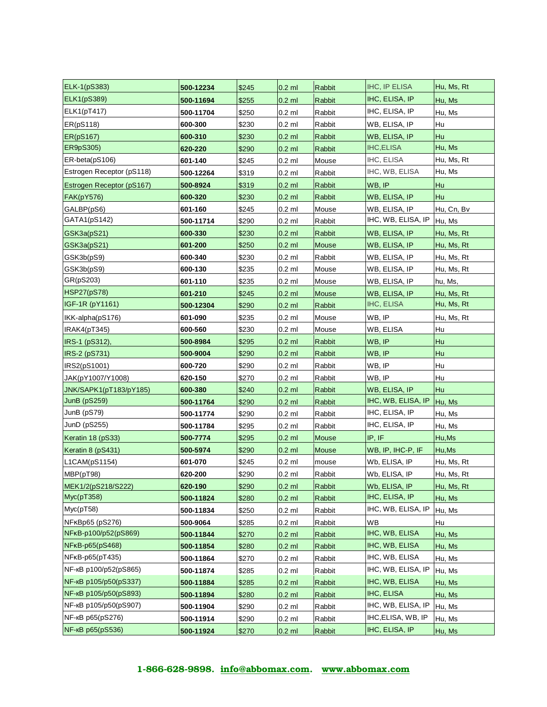| <b>ELK-1(pS383)</b>          | 500-12234 | \$245 | $0.2$ ml | <b>Rabbit</b> | <b>IHC, IP ELISA</b> | Hu, Ms, Rt |
|------------------------------|-----------|-------|----------|---------------|----------------------|------------|
| <b>ELK1(pS389)</b>           | 500-11694 | \$255 | $0.2$ ml | Rabbit        | IHC, ELISA, IP       | Hu, Ms     |
| ELK1(pT417)                  | 500-11704 | \$250 | $0.2$ ml | Rabbit        | IHC, ELISA, IP       | Hu, Ms     |
| ER(pS118)                    | 600-300   | \$230 | $0.2$ ml | Rabbit        | WB, ELISA, IP        | Hu         |
| <b>ER(pS167)</b>             | 600-310   | \$230 | $0.2$ ml | <b>Rabbit</b> | <b>WB, ELISA, IP</b> | Hu         |
| ER9pS305)                    | 620-220   | \$290 | $0.2$ ml | Rabbit        | <b>IHC,ELISA</b>     | Hu, Ms     |
| ER-beta(pS106)               | 601-140   | \$245 | $0.2$ ml | Mouse         | IHC, ELISA           | Hu, Ms, Rt |
| Estrogen Receptor (pS118)    | 500-12264 | \$319 | $0.2$ ml | Rabbit        | IHC, WB, ELISA       | Hu, Ms     |
| Estrogen Receptor (pS167)    | 500-8924  | \$319 | $0.2$ ml | Rabbit        | WB, IP               | Hu         |
| <b>FAK(pY576)</b>            | 600-320   | \$230 | $0.2$ ml | Rabbit        | WB, ELISA, IP        | Hu         |
| GALBP(pS6)                   | 601-160   | \$245 | $0.2$ ml | Mouse         | WB, ELISA, IP        | Hu, Cn, Bv |
| GATA1(pS142)                 | 500-11714 | \$290 | $0.2$ ml | Rabbit        | IHC, WB, ELISA, IP   | Hu, Ms     |
| GSK3a(pS21)                  | 600-330   | \$230 | $0.2$ ml | Rabbit        | WB, ELISA, IP        | Hu, Ms, Rt |
| GSK3a(pS21)                  | 601-200   | \$250 | $0.2$ ml | Mouse         | WB, ELISA, IP        | Hu, Ms, Rt |
| GSK3b(pS9)                   | 600-340   | \$230 | $0.2$ ml | Rabbit        | WB, ELISA, IP        | Hu, Ms, Rt |
| GSK3b(pS9)                   | 600-130   | \$235 | $0.2$ ml | Mouse         | WB, ELISA, IP        | Hu, Ms, Rt |
| GR(pS203)                    | 601-110   | \$235 | $0.2$ ml | Mouse         | WB, ELISA, IP        | hu, Ms,    |
| <b>HSP27(pS78)</b>           | 601-210   | \$245 | $0.2$ ml | Mouse         | WB, ELISA, IP        | Hu, Ms, Rt |
| IGF-1R (pY1161)              | 500-12304 | \$290 | $0.2$ ml | Rabbit        | IHC, ELISA           | Hu, Ms, Rt |
| IKK-alpha(pS176)             | 601-090   | \$235 | $0.2$ ml | Mouse         | WB, IP               | Hu, Ms, Rt |
| IRAK4(pT345)                 | 600-560   | \$230 | $0.2$ ml | Mouse         | WB, ELISA            | Hu         |
| IRS-1 (pS312),               | 500-8984  | \$295 | $0.2$ ml | Rabbit        | WB, IP               | Hu         |
| IRS-2 (pS731)                | 500-9004  | \$290 | $0.2$ ml | Rabbit        | WB, IP               | Hu         |
| IRS2(pS1001)                 | 600-720   | \$290 | $0.2$ ml | Rabbit        | WB, IP               | Hu         |
| JAK(pY1007/Y1008)            | 620-150   | \$270 | $0.2$ ml | Rabbit        | WB, IP               | Hu         |
| JNK/SAPK1(pT183/pY185)       | 600-380   | \$240 | $0.2$ ml | Rabbit        | WB, ELISA, IP        | Hu         |
| JunB(pS259)                  | 500-11764 | \$290 | $0.2$ ml | Rabbit        | IHC, WB, ELISA, IP   | Hu, Ms     |
| JunB (pS79)                  | 500-11774 | \$290 | $0.2$ ml | Rabbit        | IHC, ELISA, IP       | Hu, Ms     |
| JunD (pS255)                 | 500-11784 | \$295 | $0.2$ ml | Rabbit        | IHC, ELISA, IP       | Hu, Ms     |
| Keratin 18 (pS33)            | 500-7774  | \$295 | $0.2$ ml | Mouse         | IP, IF               | Hu, Ms     |
| Keratin 8 (pS431)            | 500-5974  | \$290 | $0.2$ ml | Mouse         | WB, IP, IHC-P, IF    | Hu, Ms     |
| L1CAM(pS1154)                | 601-070   | \$245 | $0.2$ ml | mouse         | Wb, ELISA, IP        | Hu, Ms, Rt |
| MBP(pT98)                    | 620-200   | \$290 | $0.2$ ml | Rabbit        | Wb, ELISA, IP        | Hu, Ms, Rt |
| MEK1/2(pS218/S222)           | 620-190   | \$290 | $0.2$ ml | Rabbit        | Wb, ELISA, IP        | Hu, Ms, Rt |
| Myc(pT358)                   | 500-11824 | \$280 | $0.2$ ml | Rabbit        | IHC, ELISA, IP       | Hu, Ms     |
| Myc(pT58)                    | 500-11834 | \$250 | $0.2$ ml | Rabbit        | IHC, WB, ELISA, IP   | Hu, Ms     |
| NF <sub>K</sub> Bp65 (pS276) | 500-9064  | \$285 | $0.2$ ml | Rabbit        | WВ                   | Hu         |
| NFKB-p100/p52(pS869)         | 500-11844 | \$270 | $0.2$ ml | Rabbit        | IHC, WB, ELISA       | Hu, Ms     |
| NFKB-p65(pS468)              | 500-11854 | \$280 | $0.2$ ml | Rabbit        | IHC, WB, ELISA       | Hu, Ms     |
| NFKB-p65(pT435)              | 500-11864 | \$270 | $0.2$ ml | Rabbit        | IHC, WB, ELISA       | Hu, Ms     |
| NF-кВ p100/p52(pS865)        | 500-11874 | \$285 | $0.2$ ml | Rabbit        | IHC, WB, ELISA, IP   | Hu, Ms     |
| NF-кВ p105/p50(pS337)        | 500-11884 | \$285 | $0.2$ ml | Rabbit        | IHC, WB, ELISA       | Hu, Ms     |
| NF-кВ p105/p50(pS893)        | 500-11894 | \$280 | $0.2$ ml | Rabbit        | IHC, ELISA           | Hu, Ms     |
| NF-кВ p105/p50(pS907)        | 500-11904 | \$290 | $0.2$ ml | Rabbit        | IHC, WB, ELISA, IP   | Hu, Ms     |
| NF-кВ p65(pS276)             | 500-11914 | \$290 | $0.2$ ml | Rabbit        | IHC, ELISA, WB, IP   | Hu, Ms     |
| NF-кВ p65(pS536)             | 500-11924 | \$270 | $0.2$ ml | Rabbit        | IHC, ELISA, IP       | Hu, Ms     |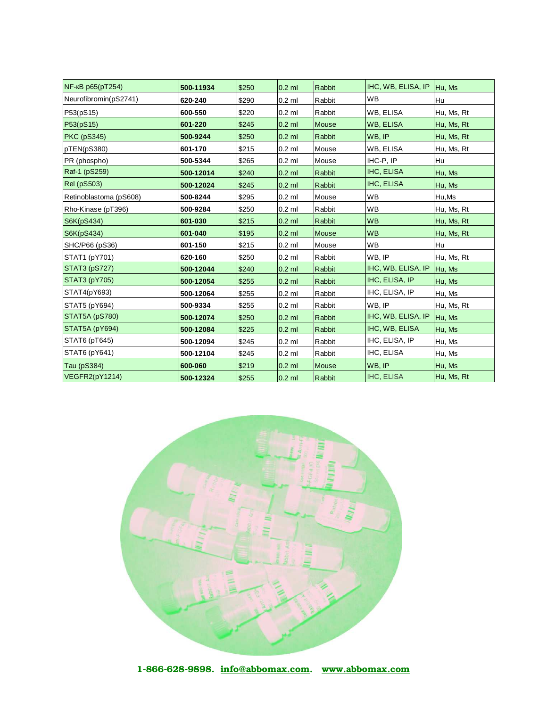| NF-кВ p65(pT254)       | 500-11934 | \$250 | $0.2$ ml | <b>Rabbit</b> | IHC, WB, ELISA, IP  Hu, Ms |            |
|------------------------|-----------|-------|----------|---------------|----------------------------|------------|
| Neurofibromin(pS2741)  | 620-240   | \$290 | $0.2$ ml | Rabbit        | <b>WB</b>                  | Hu         |
| P53(pS15)              | 600-550   | \$220 | $0.2$ ml | Rabbit        | WB, ELISA                  | Hu, Ms, Rt |
| P53(pS15)              | 601-220   | \$245 | $0.2$ ml | Mouse         | WB, ELISA                  | Hu, Ms, Rt |
| <b>PKC (pS345)</b>     | 500-9244  | \$250 | $0.2$ ml | Rabbit        | WB, IP                     | Hu, Ms, Rt |
| pTEN(pS380)            | 601-170   | \$215 | $0.2$ ml | Mouse         | WB, ELISA                  | Hu, Ms, Rt |
| PR (phospho)           | 500-5344  | \$265 | $0.2$ ml | Mouse         | IHC-P, IP                  | Hu         |
| Raf-1 (pS259)          | 500-12014 | \$240 | $0.2$ ml | Rabbit        | IHC, ELISA                 | Hu, Ms     |
| <b>Rel</b> (pS503)     | 500-12024 | \$245 | $0.2$ ml | Rabbit        | IHC, ELISA                 | Hu, Ms     |
| Retinoblastoma (pS608) | 500-8244  | \$295 | $0.2$ ml | Mouse         | <b>WB</b>                  | Hu,Ms      |
| Rho-Kinase (pT396)     | 500-9284  | \$250 | $0.2$ ml | Rabbit        | <b>WB</b>                  | Hu, Ms, Rt |
| S6K(pS434)             | 601-030   | \$215 | $0.2$ ml | Rabbit        | <b>WB</b>                  | Hu, Ms, Rt |
| S6K(pS434)             | 601-040   | \$195 | $0.2$ ml | <b>Mouse</b>  | <b>WB</b>                  | Hu, Ms, Rt |
| SHC/P66 (pS36)         | 601-150   | \$215 | $0.2$ ml | Mouse         | <b>WB</b>                  | Hu         |
| STAT1 (pY701)          | 620-160   | \$250 | $0.2$ ml | Rabbit        | WB, IP                     | Hu, Ms, Rt |
| STAT3 (pS727)          | 500-12044 | \$240 | $0.2$ ml | Rabbit        | IHC, WB, ELISA, IP         | Hu, Ms     |
| <b>STAT3 (pY705)</b>   | 500-12054 | \$255 | $0.2$ ml | Rabbit        | IHC, ELISA, IP             | Hu, Ms     |
| STAT4(pY693)           | 500-12064 | \$255 | $0.2$ ml | Rabbit        | IHC, ELISA, IP             | Hu, Ms     |
| STAT5 (pY694)          | 500-9334  | \$255 | $0.2$ ml | Rabbit        | WB, IP                     | Hu, Ms, Rt |
| STAT5A (pS780)         | 500-12074 | \$250 | $0.2$ ml | Rabbit        | IHC, WB, ELISA, IP         | Hu, Ms     |
| STAT5A (pY694)         | 500-12084 | \$225 | $0.2$ ml | Rabbit        | IHC, WB, ELISA             | Hu, Ms     |
| STAT6 (pT645)          | 500-12094 | \$245 | $0.2$ ml | Rabbit        | IHC, ELISA, IP             | Hu, Ms     |
| STAT6 (pY641)          | 500-12104 | \$245 | $0.2$ ml | Rabbit        | IHC, ELISA                 | Hu, Ms     |
| Tau (pS384)            | 600-060   | \$219 | $0.2$ ml | <b>Mouse</b>  | WB, IP                     | Hu, Ms     |
| VEGFR2(pY1214)         | 500-12324 | \$255 | $0.2$ ml | <b>Rabbit</b> | <b>IHC, ELISA</b>          | Hu, Ms, Rt |

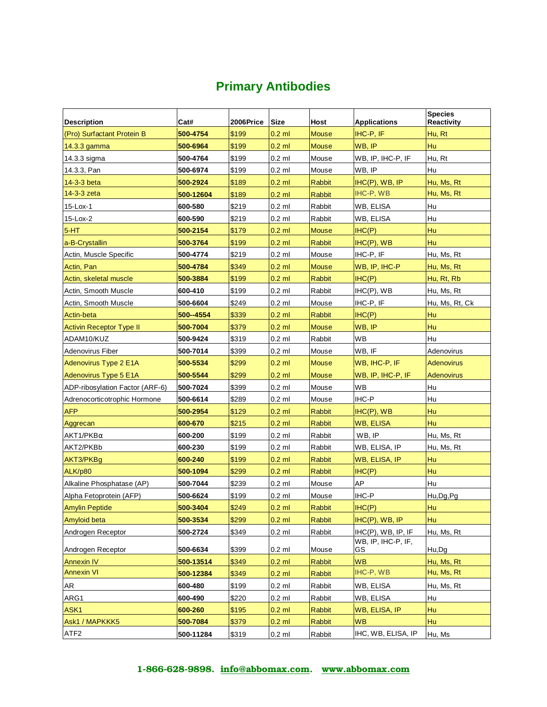# **Primary Antibodies**

|                                 |           |           |             |               |                          | <b>Species</b>    |
|---------------------------------|-----------|-----------|-------------|---------------|--------------------------|-------------------|
| <b>Description</b>              | Cat#      | 2006Price | <b>Size</b> | Host          | <b>Applications</b>      | Reactivity        |
| (Pro) Surfactant Protein B      | 500-4754  | \$199     | $0.2$ ml    | <b>Mouse</b>  | IHC-P, IF                | Hu, Rt            |
| $14.3.3$ gamma                  | 500-6964  | \$199     | $0.2$ ml    | <b>Mouse</b>  | WB, IP                   | Hu                |
| 14.3.3 sigma                    | 500-4764  | \$199     | $0.2$ ml    | Mouse         | WB, IP, IHC-P, IF        | Hu, Rt            |
| 14.3.3, Pan                     | 500-6974  | \$199     | $0.2$ ml    | Mouse         | WB, IP                   | Hu                |
| 14-3-3 beta                     | 500-2924  | \$189     | $0.2$ ml    | <b>Rabbit</b> | IHC(P), WB, IP           | Hu, Ms, Rt        |
| 14-3-3 zeta                     | 500-12604 | \$189     | $0.2$ ml    | <b>Rabbit</b> | IHC-P, WB                | Hu, Ms, Rt        |
| 15-Lox-1                        | 600-580   | \$219     | $0.2$ ml    | Rabbit        | WB, ELISA                | Hu                |
| 15-Lox-2                        | 600-590   | \$219     | $0.2$ ml    | Rabbit        | WB, ELISA                | Hu                |
| $5-HT$                          | 500-2154  | \$179     | $0.2$ ml    | <b>Mouse</b>  | HC(P)                    | Hu                |
| a-B-Crystallin                  | 500-3764  | \$199     | $0.2$ ml    | <b>Rabbit</b> | $IHC(P)$ , WB            | Hu                |
| Actin, Muscle Specific          | 500-4774  | \$219     | $0.2$ ml    | Mouse         | IHC-P, IF                | Hu, Ms, Rt        |
| Actin, Pan                      | 500-4784  | \$349     | $0.2$ ml    | <b>Mouse</b>  | WB, IP, IHC-P            | Hu, Ms, Rt        |
| Actin, skeletal muscle          | 500-3884  | \$199     | $0.2$ ml    | <b>Rabbit</b> | HC(P)                    | Hu, Rt, Rb        |
| Actin, Smooth Muscle            | 600-410   | \$199     | $0.2$ ml    | Rabbit        | IHC(P), WB               | Hu, Ms, Rt        |
| Actin, Smooth Muscle            | 500-6604  | \$249     | $0.2$ ml    | Mouse         | IHC-P, IF                | Hu, Ms, Rt, Ck    |
| Actin-beta                      | 500--4554 | \$339     | $0.2$ ml    | <b>Rabbit</b> | IHC(P)                   | Hu                |
| <b>Activin Receptor Type II</b> | 500-7004  | \$379     | $0.2$ ml    | <b>Mouse</b>  | WB, IP                   | Hu                |
| ADAM10/KUZ                      | 500-9424  | \$319     | $0.2$ ml    | Rabbit        | WВ                       | Hu                |
| Adenovirus Fiber                | 500-7014  | \$399     | $0.2$ ml    | Mouse         | WB, IF                   | Adenovirus        |
| Adenovirus Type 2 E1A           | 500-5534  | \$299     | $0.2$ ml    | <b>Mouse</b>  | WB, IHC-P, IF            | Adenovirus        |
| <b>Adenovirus Type 5 E1A</b>    | 500-5544  | \$299     | $0.2$ ml    | <b>Mouse</b>  | WB, IP, IHC-P, IF        | <b>Adenovirus</b> |
| ADP-ribosylation Factor (ARF-6) | 500-7024  | \$399     | $0.2$ ml    | Mouse         | <b>WB</b>                | Hu                |
| Adrenocorticotrophic Hormone    | 500-6614  | \$289     | $0.2$ ml    | Mouse         | IHC-P                    | Hu                |
| <b>AFP</b>                      | 500-2954  | \$129     | $0.2$ ml    | <b>Rabbit</b> | $IHC(P)$ , WB            | Hu                |
| Aggrecan                        | 600-670   | \$215     | $0.2$ ml    | <b>Rabbit</b> | <b>WB, ELISA</b>         | Hu                |
| $AKT1/PKB\alpha$                | 600-200   | \$199     | $0.2$ ml    | Rabbit        | WB, IP                   | Hu, Ms, Rt        |
| AKT2/PKBb                       | 600-230   | \$199     | $0.2$ ml    | Rabbit        | WB, ELISA, IP            | Hu, Ms, Rt        |
| AKT3/PKBg                       | 600-240   | \$199     | $0.2$ ml    | Rabbit        | WB, ELISA, IP            | Hu                |
| ALK/p80                         | 500-1094  | \$299     | $0.2$ ml    | <b>Rabbit</b> | IHC(P)                   | Hu                |
| Alkaline Phosphatase (AP)       | 500-7044  | \$239     | $0.2$ ml    | Mouse         | AP                       | Hu                |
| Alpha Fetoprotein (AFP)         | 500-6624  | \$199     | $0.2$ ml    | Mouse         | IHC-P                    | Hu, Dg, Pg        |
| <b>Amylin Peptide</b>           | 500-3404  | \$249     | $0.2$ ml    | Rabbit        | H C(P)                   | Hu                |
| Amyloid beta                    | 500-3534  | \$299     | $0.2$ ml    | <b>Rabbit</b> | $IHC(P)$ , WB, IP        | Hu                |
| Androgen Receptor               | 500-2724  | \$349     | $0.2$ ml    | Rabbit        | IHC(P), WB, IP, IF       | Hu, Ms, Rt        |
| Androgen Receptor               | 500-6634  | \$399     | $0.2$ ml    | Mouse         | WB, IP, IHC-P, IF,<br>GS | Hu,Dg             |
| <b>Annexin IV</b>               | 500-13514 | \$349     | $0.2$ ml    | Rabbit        | <b>WB</b>                | Hu, Ms, Rt        |
| <b>Annexin VI</b>               | 500-12384 | \$349     | $0.2$ ml    | <b>Rabbit</b> | IHC-P, WB                | Hu, Ms, Rt        |
| AR                              | 600-480   | \$199     | $0.2$ ml    | Rabbit        | WB, ELISA                | Hu, Ms, Rt        |
| ARG1                            | 600-490   | \$220     | $0.2$ ml    | Rabbit        | WB, ELISA                | Hu                |
| ASK <sub>1</sub>                | 600-260   | \$195     | $0.2$ ml    | Rabbit        | WB, ELISA, IP            | Hu                |
| Ask1 / MAPKKK5                  |           |           |             |               |                          |                   |
|                                 | 500-7084  | \$379     | $0.2$ ml    | Rabbit        | <b>WB</b>                | Hu                |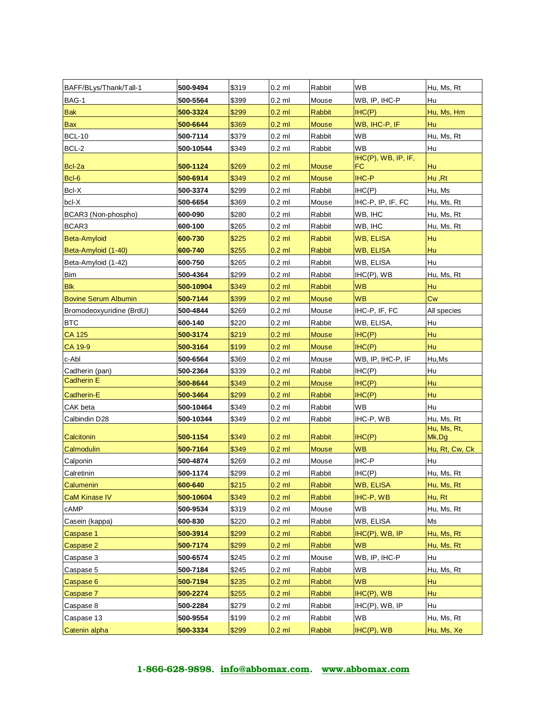| BAFF/BLys/Thank/Tall-1      | 500-9494  | \$319 | $0.2$ ml | Rabbit        | <b>WB</b>                 | Hu, Ms, Rt           |
|-----------------------------|-----------|-------|----------|---------------|---------------------------|----------------------|
| BAG-1                       | 500-5564  | \$399 | $0.2$ ml | Mouse         | WB, IP, IHC-P             | Hu                   |
| <b>Bak</b>                  | 500-3324  | \$299 | $0.2$ ml | <b>Rabbit</b> | IHC(P)                    | Hu, Ms, Hm           |
| <b>Bax</b>                  | 500-6644  | \$369 | $0.2$ ml | <b>Mouse</b>  | WB, IHC-P, IF             | Hu                   |
| <b>BCL-10</b>               | 500-7114  | \$379 | $0.2$ ml | Rabbit        | <b>WB</b>                 | Hu, Ms, Rt           |
| BCL-2                       | 500-10544 | \$349 | $0.2$ ml | Rabbit        | WB                        | Hu                   |
| Bcl-2a                      | 500-1124  | \$269 | $0.2$ ml | <b>Mouse</b>  | IHC(P), WB, IP, IF,<br>FC | Hu                   |
| Bcl-6                       | 500-6914  | \$349 | $0.2$ ml | Mouse         | $IHC-P$                   | Hu, Rt               |
| $Bcl-X$                     | 500-3374  | \$299 | $0.2$ ml | Rabbit        | IHC(P)                    | Hu, Ms               |
| bcl-X                       | 500-6654  | \$369 | $0.2$ ml | Mouse         | IHC-P, IP, IF, FC         | Hu, Ms, Rt           |
| BCAR3 (Non-phospho)         | 600-090   | \$280 | $0.2$ ml | Rabbit        | WB, IHC                   | Hu, Ms, Rt           |
| BCAR3                       | 600-100   | \$265 | $0.2$ ml | Rabbit        | WB, IHC                   | Hu, Ms, Rt           |
| Beta-Amyloid                | 600-730   | \$225 | $0.2$ ml | Rabbit        | <b>WB, ELISA</b>          | Hu                   |
| Beta-Amyloid (1-40)         | 600-740   | \$255 | $0.2$ ml | Rabbit        | WB, ELISA                 | Hu                   |
| Beta-Amyloid (1-42)         | 600-750   | \$265 | $0.2$ ml | Rabbit        | WB, ELISA                 | Hu                   |
| <b>Bim</b>                  | 500-4364  | \$299 | $0.2$ ml | Rabbit        | $IHC(P)$ , WB             | Hu, Ms, Rt           |
| <b>Blk</b>                  | 500-10904 | \$349 | $0.2$ ml | Rabbit        | <b>WB</b>                 | Hu                   |
| <b>Bovine Serum Albumin</b> | 500-7144  | \$399 | $0.2$ ml | <b>Mouse</b>  | WB                        | Сw                   |
| Bromodeoxyuridine (BrdU)    | 500-4844  | \$269 | $0.2$ ml | Mouse         | IHC-P, IF, FC             | All species          |
| <b>BTC</b>                  | 600-140   | \$220 | $0.2$ ml | Rabbit        | WB, ELISA,                | Hu                   |
| <b>CA 125</b>               | 500-3174  | \$219 | $0.2$ ml | <b>Mouse</b>  | IHC(P)                    | Hu                   |
| CA 19-9                     | 500-3164  | \$199 | $0.2$ ml | <b>Mouse</b>  | IHC(P)                    | Hu                   |
| c-Abl                       | 500-6564  | \$369 | $0.2$ ml | Mouse         | WB, IP, IHC-P, IF         | Hu, Ms               |
| Cadherin (pan)              | 500-2364  | \$339 | $0.2$ ml | Rabbit        | IHC(P)                    | Hu                   |
| <b>Cadherin E</b>           | 500-8644  | \$349 | $0.2$ ml | <b>Mouse</b>  | IHC(P)                    | Hu                   |
| Cadherin-E                  | 500-3464  | \$299 | $0.2$ ml | Rabbit        | IHC(P)                    | Hu                   |
| CAK beta                    | 500-10464 | \$349 | $0.2$ ml | Rabbit        | WВ                        | Hu                   |
| Calbindin D28               | 500-10344 | \$349 | $0.2$ ml | Rabbit        | IHC-P, WB                 | Hu, Ms, Rt           |
| Calcitonin                  | 500-1154  | \$349 | $0.2$ ml | <b>Rabbit</b> | IHC(P)                    | Hu, Ms, Rt,<br>Mk,Dg |
| Calmodulin                  | 500-7164  | \$349 | $0.2$ ml | <b>Mouse</b>  | <b>WB</b>                 | Hu, Rt, Cw, Ck       |
| Calponin                    | 500-4874  | \$269 | $0.2$ ml | Mouse         | IHC-P                     | Hu                   |
| Calretinin                  | 500-1174  | \$299 | $0.2$ ml | Rabbit        | IHC(P)                    | Hu, Ms, Rt           |
| Calumenin                   | 600-640   | \$215 | $0.2$ ml | Rabbit        | <b>WB, ELISA</b>          | Hu, Ms, Rt           |
| <b>CaM Kinase IV</b>        | 500-10604 | \$349 | $0.2$ ml | Rabbit        | IHC-P, WB                 | Hu, Rt               |
| cAMP                        | 500-9534  | \$319 | $0.2$ ml | Mouse         | WB                        | Hu, Ms, Rt           |
| Casein (kappa)              | 600-830   | \$220 | $0.2$ ml | Rabbit        | WB, ELISA                 | Ms                   |
| Caspase 1                   | 500-3914  | \$299 | $0.2$ ml | Rabbit        | IHC(P), WB, IP            | Hu, Ms, Rt           |
| Caspase 2                   | 500-7174  | \$299 | $0.2$ ml | Rabbit        | <b>WB</b>                 | Hu, Ms, Rt           |
| Caspase 3                   | 500-6574  | \$245 | $0.2$ ml | Mouse         | WB, IP, IHC-P             | Hu                   |
| Caspase 5                   | 500-7184  | \$245 | $0.2$ ml | Rabbit        | WB                        | Hu, Ms, Rt           |
| Caspase 6                   | 500-7194  | \$235 | $0.2$ ml | Rabbit        | <b>WB</b>                 | Hu                   |
| Caspase 7                   | 500-2274  | \$255 | $0.2$ ml | Rabbit        | $IHC(P)$ , WB             | Hu                   |
| Caspase 8                   | 500-2284  | \$279 | $0.2$ ml | Rabbit        | $IHC(P)$ , WB, IP         | Hu                   |
| Caspase 13                  | 500-9554  | \$199 | $0.2$ ml | Rabbit        | <b>WB</b>                 | Hu, Ms, Rt           |
| Catenin alpha               | 500-3334  | \$299 | $0.2$ ml | <b>Rabbit</b> | $IHC(P)$ , WB             | Hu, Ms, Xe           |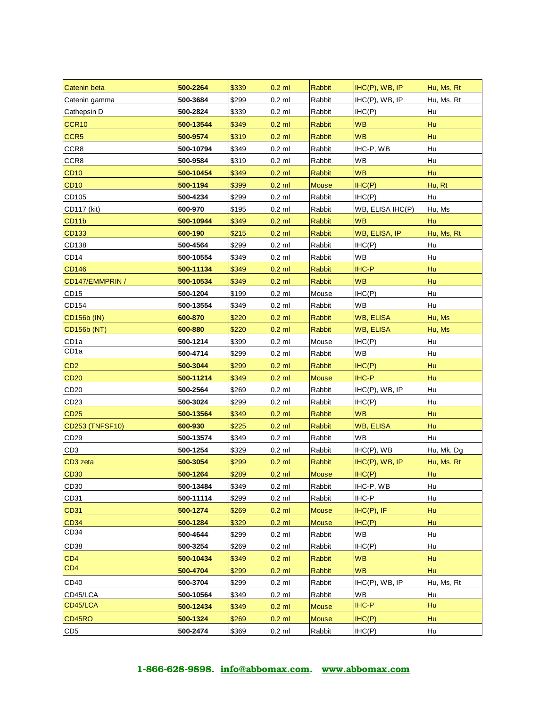| Catenin beta         | 500-2264  | \$339 | $0.2$ ml | <b>Rabbit</b> | IHC(P), WB, IP    | Hu, Ms, Rt |
|----------------------|-----------|-------|----------|---------------|-------------------|------------|
| Catenin gamma        | 500-3684  | \$299 | $0.2$ ml | Rabbit        | $HC(P)$ , WB, IP  | Hu, Ms, Rt |
| Cathepsin D          | 500-2824  | \$339 | $0.2$ ml | Rabbit        | IHC(P)            | Hu         |
| CCR <sub>10</sub>    | 500-13544 | \$349 | $0.2$ ml | <b>Rabbit</b> | <b>WB</b>         | Hu         |
| CCR <sub>5</sub>     | 500-9574  | \$319 | $0.2$ ml | <b>Rabbit</b> | <b>WB</b>         | Hu         |
| CCR8                 | 500-10794 | \$349 | $0.2$ ml | Rabbit        | IHC-P, WB         | Hu         |
| CCR8                 | 500-9584  | \$319 | $0.2$ ml | Rabbit        | WB                | Hu         |
| <b>CD10</b>          | 500-10454 | \$349 | $0.2$ ml | <b>Rabbit</b> | <b>WB</b>         | Hu         |
| <b>CD10</b>          | 500-1194  | \$399 | $0.2$ ml | <b>Mouse</b>  | H C(P)            | Hu, Rt     |
| CD105                | 500-4234  | \$299 | $0.2$ ml | Rabbit        | IHC(P)            | Hu         |
| CD117 (kit)          | 600-970   | \$195 | $0.2$ ml | Rabbit        | WB, ELISA IHC(P)  | Hu, Ms     |
| CD <sub>11</sub> b   | 500-10944 | \$349 | $0.2$ ml | <b>Rabbit</b> | <b>WB</b>         | Hu         |
| <b>CD133</b>         | 600-190   | \$215 | $0.2$ ml | Rabbit        | WB, ELISA, IP     | Hu, Ms, Rt |
| CD138                | 500-4564  | \$299 | $0.2$ ml | Rabbit        | IHC(P)            | Hu         |
| CD <sub>14</sub>     | 500-10554 | \$349 | $0.2$ ml | Rabbit        | WB                | Hu         |
| <b>CD146</b>         | 500-11134 | \$349 | $0.2$ ml | <b>Rabbit</b> | <b>IHC-P</b>      | Hu         |
| CD147/EMMPRIN /      | 500-10534 | \$349 | $0.2$ ml | <b>Rabbit</b> | <b>WB</b>         | Hu         |
| CD15                 | 500-1204  | \$199 | $0.2$ ml | Mouse         | IHC(P)            | Hu         |
| CD154                | 500-13554 | \$349 | $0.2$ ml | Rabbit        | WB                | Hu         |
| <b>CD156b (IN)</b>   | 600-870   | \$220 | $0.2$ ml | <b>Rabbit</b> | <b>WB, ELISA</b>  | Hu, Ms     |
| CD156b (NT)          | 600-880   | \$220 | $0.2$ ml | Rabbit        | <b>WB, ELISA</b>  | Hu, Ms     |
| CD <sub>1a</sub>     | 500-1214  | \$399 | $0.2$ ml | Mouse         | IHC(P)            | Hu         |
| CD1a                 | 500-4714  | \$299 | $0.2$ ml | Rabbit        | WB                | Hu         |
| CD <sub>2</sub>      | 500-3044  | \$299 | $0.2$ ml | <b>Rabbit</b> | IHC(P)            | Hu         |
| <b>CD20</b>          | 500-11214 | \$349 | $0.2$ ml | <b>Mouse</b>  | <b>IHC-P</b>      | Hu         |
| CD <sub>20</sub>     | 500-2564  | \$269 | $0.2$ ml | Rabbit        | $IHC(P)$ , WB, IP | Hu         |
| CD <sub>23</sub>     | 500-3024  | \$299 | $0.2$ ml | Rabbit        | IHC(P)            | Hu         |
| <b>CD25</b>          | 500-13564 | \$349 | $0.2$ ml | <b>Rabbit</b> | <b>WB</b>         | Hu         |
| CD253 (TNFSF10)      | 600-930   | \$225 | $0.2$ ml | Rabbit        | <b>WB, ELISA</b>  | Hu         |
| CD <sub>29</sub>     | 500-13574 | \$349 | $0.2$ ml | Rabbit        | WВ                | Hu         |
| CD <sub>3</sub>      | 500-1254  | \$329 | $0.2$ ml | Rabbit        | $IHC(P)$ , WB     | Hu, Mk, Dg |
| CD <sub>3</sub> zeta | 500-3054  | \$299 | $0.2$ ml | <b>Rabbit</b> | $IHC(P)$ , WB, IP | Hu, Ms, Rt |
| <b>CD30</b>          | 500-1264  | \$289 | $0.2$ ml | <b>Mouse</b>  | IHC(P)            | Hu         |
| CD <sub>30</sub>     | 500-13484 | \$349 | $0.2$ ml | Rabbit        | IHC-P, WB         | Hu         |
| CD31                 | 500-11114 | \$299 | $0.2$ ml | Rabbit        | $IHC-P$           | Hu         |
| <b>CD31</b>          | 500-1274  | \$269 | $0.2$ ml | <b>Mouse</b>  | $IHC(P)$ , IF     | Hu         |
| CD <sub>34</sub>     | 500-1284  | \$329 | $0.2$ ml | <b>Mouse</b>  | IHC(P)            | Hu         |
| CD <sub>34</sub>     | 500-4644  | \$299 | $0.2$ ml | Rabbit        | WB                | Hu         |
| CD <sub>38</sub>     | 500-3254  | \$269 | $0.2$ ml | Rabbit        | IHC(P)            | Hu         |
| CD <sub>4</sub>      | 500-10434 | \$349 | $0.2$ ml | <b>Rabbit</b> | <b>WB</b>         | Hu         |
| CD <sub>4</sub>      | 500-4704  | \$299 | $0.2$ ml | Rabbit        | <b>WB</b>         | Hu         |
| CD40                 | 500-3704  | \$299 | $0.2$ ml | Rabbit        | $IHC(P)$ , WB, IP | Hu, Ms, Rt |
| CD45/LCA             | 500-10564 | \$349 | $0.2$ ml | Rabbit        | <b>WB</b>         | Hu         |
| CD45/LCA             | 500-12434 | \$349 | $0.2$ ml | <b>Mouse</b>  | <b>IHC-P</b>      | Hu         |
| CD45RO               | 500-1324  | \$269 | $0.2$ ml | <b>Mouse</b>  | IHC(P)            | Hu         |
| CD <sub>5</sub>      | 500-2474  | \$369 | $0.2$ ml | Rabbit        | IHC(P)            | Hu         |
|                      |           |       |          |               |                   |            |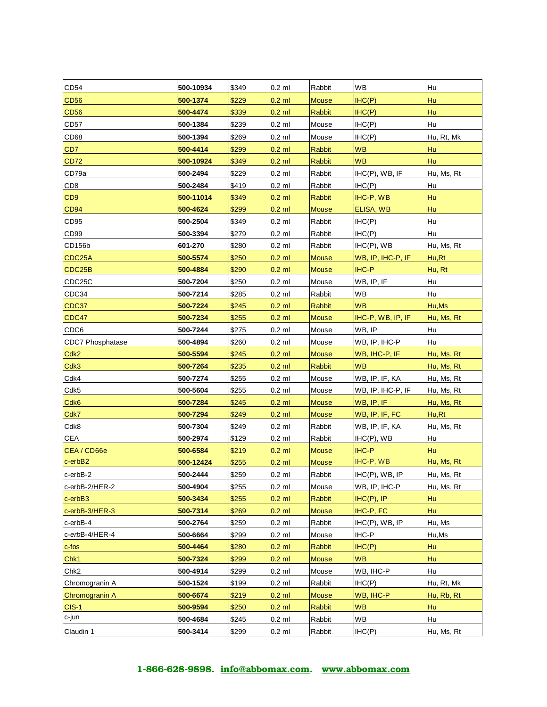| CD54                    | 500-10934 | \$349 | $0.2$ ml | Rabbit        | <b>WB</b>         | Hu         |
|-------------------------|-----------|-------|----------|---------------|-------------------|------------|
| <b>CD56</b>             | 500-1374  | \$229 | $0.2$ ml | <b>Mouse</b>  | IHC(P)            | Hu         |
| <b>CD56</b>             | 500-4474  | \$339 | $0.2$ ml | <b>Rabbit</b> | IHC(P)            | Hu         |
| CD <sub>57</sub>        | 500-1384  | \$239 | $0.2$ ml | Mouse         | IHC(P)            | Hu         |
| CD68                    | 500-1394  | \$269 | $0.2$ ml | Mouse         | IHC(P)            | Hu, Rt, Mk |
| CD7                     | 500-4414  | \$299 | $0.2$ ml | <b>Rabbit</b> | <b>WB</b>         | Hu         |
| <b>CD72</b>             | 500-10924 | \$349 | $0.2$ ml | Rabbit        | <b>WB</b>         | Hu         |
| CD79a                   | 500-2494  | \$229 | $0.2$ ml | Rabbit        | $IHC(P)$ , WB, IF | Hu, Ms, Rt |
| CD <sub>8</sub>         | 500-2484  | \$419 | 0.2 ml   | Rabbit        | IHC(P)            | Hu         |
| CD <sub>9</sub>         | 500-11014 | \$349 | $0.2$ ml | <b>Rabbit</b> | IHC-P, WB         | Hu         |
| <b>CD94</b>             | 500-4624  | \$299 | $0.2$ ml | Mouse         | ELISA, WB         | Hu         |
| CD <sub>95</sub>        | 500-2504  | \$349 | $0.2$ ml | Rabbit        | IHC(P)            | Hu         |
| CD <sub>99</sub>        | 500-3394  | \$279 | $0.2$ ml | Rabbit        | IHC(P)            | Hu         |
| CD156b                  | 601-270   | \$280 | $0.2$ ml | Rabbit        | $IHC(P)$ , WB     | Hu, Ms, Rt |
| CDC <sub>25</sub> A     | 500-5574  | \$250 | $0.2$ ml | <b>Mouse</b>  | WB, IP, IHC-P, IF | Hu,Rt      |
| CDC25B                  | 500-4884  | \$290 | $0.2$ ml | <b>Mouse</b>  | <b>IHC-P</b>      | Hu, Rt     |
| CDC25C                  | 500-7204  | \$250 | 0.2 ml   | Mouse         | WB, IP, IF        | Hu         |
| CDC34                   | 500-7214  | \$285 | $0.2$ ml | Rabbit        | WB                | Hu         |
| CDC37                   | 500-7224  | \$245 | $0.2$ ml | <b>Rabbit</b> | <b>WB</b>         | Hu, Ms     |
| CDC47                   | 500-7234  | \$255 | $0.2$ ml | <b>Mouse</b>  | IHC-P, WB, IP, IF | Hu, Ms, Rt |
| CDC6                    | 500-7244  | \$275 | $0.2$ ml | Mouse         | WB, IP            | Hu         |
| <b>CDC7 Phosphatase</b> | 500-4894  | \$260 | $0.2$ ml | Mouse         | WB, IP, IHC-P     | Hu         |
| Cdk <sub>2</sub>        | 500-5594  | \$245 | $0.2$ ml | <b>Mouse</b>  | WB, IHC-P, IF     | Hu, Ms, Rt |
| Cdk3                    | 500-7264  | \$235 | $0.2$ ml | Rabbit        | <b>WB</b>         | Hu, Ms, Rt |
| Cdk4                    | 500-7274  | \$255 | $0.2$ ml | Mouse         | WB, IP, IF, KA    | Hu, Ms, Rt |
| Cdk5                    | 500-5604  | \$255 | $0.2$ ml | Mouse         | WB, IP, IHC-P, IF | Hu, Ms, Rt |
| Cdk6                    | 500-7284  | \$245 | $0.2$ ml | <b>Mouse</b>  | WB, IP, IF        | Hu, Ms, Rt |
| Cdk7                    | 500-7294  | \$249 | $0.2$ ml | <b>Mouse</b>  | WB, IP, IF, FC    | Hu,Rt      |
| Cdk8                    | 500-7304  | \$249 | $0.2$ ml | Rabbit        | WB, IP, IF, KA    | Hu, Ms, Rt |
| CEA                     | 500-2974  | \$129 | $0.2$ ml | Rabbit        | $IHC(P)$ , WB     | Hu         |
| CEA/CD66e               | 500-6584  | \$219 | $0.2$ ml | <b>Mouse</b>  | <b>IHC-P</b>      | Hu         |
| $c$ -erb $B2$           | 500-12424 | \$255 | $0.2$ ml | <b>Mouse</b>  | IHC-P, WB         | Hu, Ms, Rt |
| c-erbB-2                | 500-2444  | \$259 | $0.2$ ml | Rabbit        | IHC(P), WB, IP    | Hu, Ms, Rt |
| c-erbB-2/HER-2          | 500-4904  | \$255 | $0.2$ ml | Mouse         | WB, IP, IHC-P     | Hu, Ms, Rt |
| c-erbB3                 | 500-3434  | \$255 | $0.2$ ml | <b>Rabbit</b> | $IHC(P)$ , $IP$   | Hu         |
| c-erbB-3/HER-3          | 500-7314  | \$269 | $0.2$ ml | Mouse         | IHC-P, FC         | Hu         |
| c-erbB-4                | 500-2764  | \$259 | $0.2$ ml | Rabbit        | IHC(P), WB, IP    | Hu, Ms     |
| c-erbB-4/HER-4          | 500-6664  | \$299 | $0.2$ ml | Mouse         | IHC-P             | Hu,Ms      |
| $c$ -fos                | 500-4464  | \$280 | $0.2$ ml | <b>Rabbit</b> | IHC(P)            | Hu         |
| Chk1                    | 500-7324  | \$299 | $0.2$ ml | <b>Mouse</b>  | <b>WB</b>         | Hu         |
| Chk <sub>2</sub>        | 500-4914  | \$299 | $0.2$ ml | Mouse         | WB, IHC-P         | Hu         |
| Chromogranin A          | 500-1524  | \$199 | $0.2$ ml | Rabbit        | IHC(P)            | Hu, Rt, Mk |
| Chromogranin A          | 500-6674  | \$219 | $0.2$ ml | <b>Mouse</b>  | WB, IHC-P         | Hu, Rb, Rt |
| $CIS-1$                 | 500-9594  | \$250 | $0.2$ ml | Rabbit        | <b>WB</b>         | Hu         |
| c-jun                   | 500-4684  | \$245 | $0.2$ ml | Rabbit        | WB                | Hu         |
| Claudin 1               | 500-3414  | \$299 | $0.2$ ml | Rabbit        | IHC(P)            | Hu, Ms, Rt |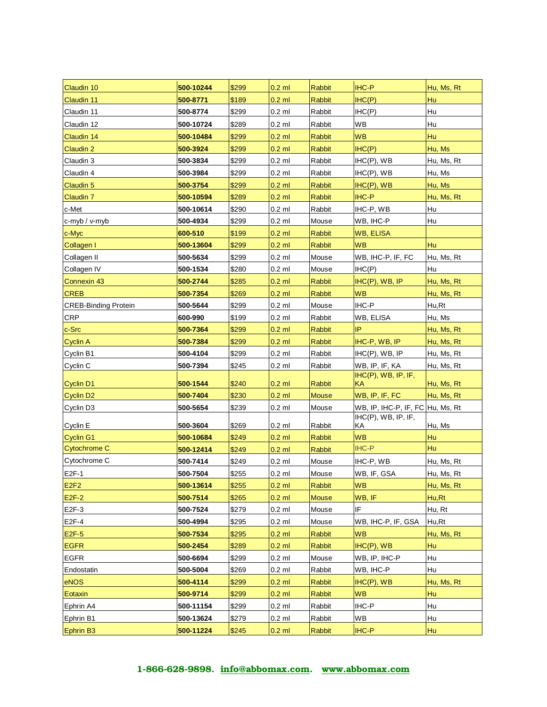| Claudin 10                  | 500-10244 | \$299 | $0.2$ ml | <b>Rabbit</b> | <b>IHC-P</b>                     | Hu, Ms, Rt |
|-----------------------------|-----------|-------|----------|---------------|----------------------------------|------------|
| Claudin 11                  | 500-8771  | \$189 | $0.2$ ml | Rabbit        | IHC(P)                           | Hu         |
| Claudin 11                  | 500-8774  | \$299 | $0.2$ ml | Rabbit        | IHC(P)                           | Hu         |
| Claudin 12                  | 500-10724 | \$289 | $0.2$ ml | Rabbit        | WB                               | Hu         |
| Claudin 14                  | 500-10484 | \$299 | $0.2$ ml | <b>Rabbit</b> | <b>WB</b>                        | Hu         |
| Claudin 2                   | 500-3924  | \$299 | $0.2$ ml | Rabbit        | IHC(P)                           | Hu, Ms     |
| Claudin 3                   | 500-3834  | \$299 | $0.2$ ml | Rabbit        | $IHC(P)$ , WB                    | Hu, Ms, Rt |
| Claudin 4                   | 500-3984  | \$299 | $0.2$ ml | Rabbit        | $IHC(P)$ , WB                    | Hu, Ms     |
| Claudin 5                   | 500-3754  | \$299 | $0.2$ ml | <b>Rabbit</b> | $IHC(P)$ , WB                    | Hu, Ms     |
| Claudin 7                   | 500-10594 | \$289 | $0.2$ ml | Rabbit        | <b>IHC-P</b>                     | Hu, Ms, Rt |
| c-Met                       | 500-10614 | \$290 | $0.2$ ml | Rabbit        | IHC-P, WB                        | Hu         |
| c-myb / v-myb               | 500-4934  | \$299 | $0.2$ ml | Mouse         | WB, IHC-P                        | Hu         |
| c-Myc                       | 600-510   | \$199 | $0.2$ ml | <b>Rabbit</b> | <b>WB, ELISA</b>                 |            |
| Collagen I                  | 500-13604 | \$299 | $0.2$ ml | <b>Rabbit</b> | <b>WB</b>                        | Hu         |
| Collagen II                 | 500-5634  | \$299 | $0.2$ ml | Mouse         | WB, IHC-P, IF, FC                | Hu, Ms, Rt |
| Collagen IV                 | 500-1534  | \$280 | $0.2$ ml | Mouse         | IHC(P)                           | Hu         |
| Connexin 43                 | 500-2744  | \$285 | $0.2$ ml | <b>Rabbit</b> | $IHC(P)$ , $WB$ , $IP$           | Hu, Ms, Rt |
| <b>CREB</b>                 | 500-7354  | \$269 | $0.2$ ml | Rabbit        | <b>WB</b>                        | Hu, Ms, Rt |
| <b>CREB-Binding Protein</b> | 500-5644  | \$299 | $0.2$ ml | Mouse         | IHC-P                            | Hu,Rt      |
| <b>CRP</b>                  | 600-990   | \$199 | $0.2$ ml | Rabbit        | WB, ELISA                        | Hu. Ms     |
| c-Src                       | 500-7364  | \$299 | $0.2$ ml | <b>Rabbit</b> | IP                               | Hu, Ms, Rt |
| Cyclin A                    | 500-7384  | \$299 | $0.2$ ml | Rabbit        | IHC-P, WB, IP                    | Hu, Ms, Rt |
| Cyclin B1                   | 500-4104  | \$299 | $0.2$ ml | Rabbit        | $HC(P)$ , WB, IP                 | Hu, Ms, Rt |
| Cyclin C                    | 500-7394  | \$245 | $0.2$ ml | Rabbit        | WB, IP, IF, KA                   | Hu, Ms, Rt |
| Cyclin D1                   | 500-1544  | \$240 | $0.2$ ml | Rabbit        | IHC(P), WB, IP, IF,<br>ΚA        | Hu, Ms, Rt |
| Cyclin D <sub>2</sub>       | 500-7404  | \$230 | $0.2$ ml | Mouse         | WB, IP, IF, FC                   | Hu, Ms, Rt |
| Cyclin D3                   | 500-5654  | \$239 | $0.2$ ml | Mouse         | WB, IP, IHC-P, IF, FC Hu, Ms, Rt |            |
|                             |           |       |          |               | $IHC(P)$ , $WB$ , $IP$ , $IF$ ,  |            |
| Cyclin E                    | 500-3604  | \$269 | $0.2$ ml | Rabbit        | ΚA                               | Hu, Ms     |
| <b>Cyclin G1</b>            | 500-10684 | \$249 | $0.2$ ml | <b>Rabbit</b> | <b>WB</b>                        | Hu         |
| <b>Cytochrome C</b>         | 500-12414 | \$249 | $0.2$ ml | <b>Rabbit</b> | <b>IHC-P</b>                     | Hu         |
| Cytochrome C                | 500-7414  | \$249 | $0.2$ ml | Mouse         | IHC-P, WB                        | Hu, Ms, Rt |
| E2F-1                       | 500-7504  | \$255 | $0.2$ ml | Mouse         | WB, IF, GSA                      | Hu, Ms, Rt |
| E2F2                        | 500-13614 | \$255 | $0.2$ ml | Rabbit        | <b>WB</b>                        | Hu, Ms, Rt |
| $E2F-2$                     | 500-7514  | \$265 | $0.2$ ml | <b>Mouse</b>  | WB, IF                           | Hu,Rt      |
| E2F-3                       | 500-7524  | \$279 | $0.2$ ml | Mouse         | IF                               | Hu, Rt     |
| E2F-4                       | 500-4994  | \$295 | $0.2$ ml | Mouse         | WB, IHC-P, IF, GSA               | Hu,Rt      |
| $E2F-5$                     | 500-7534  | \$295 | $0.2$ ml | Rabbit        | <b>WB</b>                        | Hu, Ms, Rt |
| <b>EGFR</b>                 | 500-2454  | \$289 | $0.2$ ml | Rabbit        | $IHC(P)$ , WB                    | Hu         |
| <b>EGFR</b>                 | 500-6694  | \$299 | $0.2$ ml | Mouse         | WB, IP, IHC-P                    | Hu         |
| Endostatin                  | 500-5004  | \$269 | $0.2$ ml | Rabbit        | WB, IHC-P                        | Hu         |
| eNOS                        | 500-4114  | \$299 | $0.2$ ml | <b>Rabbit</b> | $IHC(P)$ , WB                    | Hu, Ms, Rt |
| Eotaxin                     | 500-9714  | \$299 | $0.2$ ml | Rabbit        | <b>WB</b>                        | Hu         |
| Ephrin A4                   | 500-11154 | \$299 | $0.2$ ml | Rabbit        | IHC-P                            | Hu         |
| Ephrin B1                   | 500-13624 | \$279 | $0.2$ ml | Rabbit        | WB                               | Hu         |
| Ephrin B <sub>3</sub>       | 500-11224 | \$245 | $0.2$ ml | Rabbit        | <b>IHC-P</b>                     | Hu         |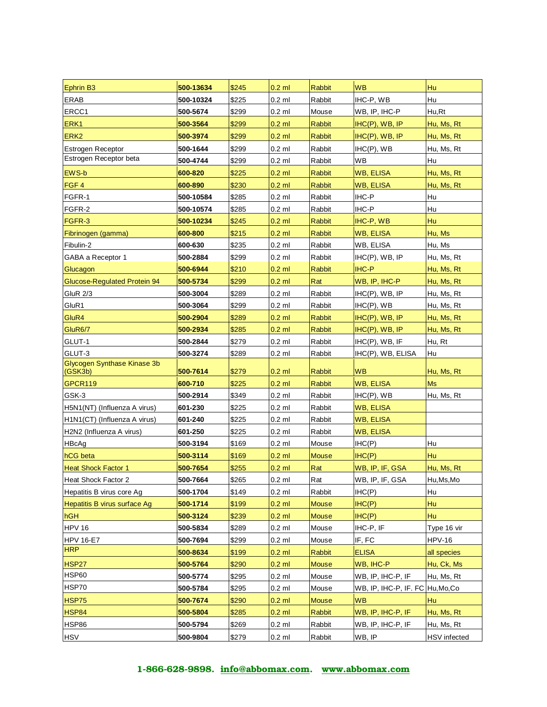| Ephrin B3                    | 500-13634 | \$245 | $0.2$ ml | <b>Rabbit</b>     | <b>WB</b>                        | Hu                  |
|------------------------------|-----------|-------|----------|-------------------|----------------------------------|---------------------|
| <b>ERAB</b>                  | 500-10324 | \$225 | $0.2$ ml | Rabbit            | IHC-P, WB                        | Hu                  |
| ERCC1                        | 500-5674  | \$299 | $0.2$ ml | Mouse             | WB, IP, IHC-P                    | Hu,Rt               |
| ERK <sub>1</sub>             | 500-3564  | \$299 | $0.2$ ml | <b>Rabbit</b>     | $HC(P)$ , WB, IP                 | Hu, Ms, Rt          |
| ERK <sub>2</sub>             | 500-3974  | \$299 | $0.2$ ml | <b>Rabbit</b>     | $IHC(P)$ , WB, IP                | Hu, Ms, Rt          |
| <b>Estrogen Receptor</b>     | 500-1644  | \$299 | $0.2$ ml | Rabbit            | $IHC(P)$ , WB                    | Hu, Ms, Rt          |
| Estrogen Receptor beta       | 500-4744  | \$299 | $0.2$ ml | Rabbit            | <b>WB</b>                        | Hu                  |
| <b>EWS-b</b>                 | 600-820   | \$225 | $0.2$ ml | Rabbit            | <b>WB, ELISA</b>                 | Hu, Ms, Rt          |
| FGF4                         | 600-890   | \$230 | $0.2$ ml | <b>Rabbit</b>     | <b>WB, ELISA</b>                 | Hu, Ms, Rt          |
| FGFR-1                       | 500-10584 | \$285 | $0.2$ ml | Rabbit            | IHC-P                            | Hu                  |
| FGFR-2                       | 500-10574 | \$285 | $0.2$ ml | Rabbit            | IHC-P                            | Hu                  |
| FGFR-3                       | 500-10234 | \$245 | $0.2$ ml | <b>Rabbit</b>     | IHC-P, WB                        | Hu                  |
| Fibrinogen (gamma)           | 600-800   | \$215 | $0.2$ ml | <b>Rabbit</b>     | <b>WB, ELISA</b>                 | Hu, Ms              |
| Fibulin-2                    | 600-630   | \$235 | $0.2$ ml | Rabbit            | WB, ELISA                        | Hu, Ms              |
| GABA a Receptor 1            | 500-2884  | \$299 | $0.2$ ml | Rabbit            | IHC(P), WB, IP                   | Hu, Ms, Rt          |
| Glucagon                     | 500-6944  | \$210 | $0.2$ ml | <b>Rabbit</b>     | <b>IHC-P</b>                     | Hu, Ms, Rt          |
| Glucose-Regulated Protein 94 | 500-5734  | \$299 | $0.2$ ml | Rat               | WB, IP, IHC-P                    | Hu, Ms, Rt          |
| <b>GluR 2/3</b>              | 500-3004  | \$289 | $0.2$ ml | Rabbit            | IHC(P), WB, IP                   | Hu, Ms, Rt          |
| GluR1                        | 500-3064  | \$299 | $0.2$ ml | Rabbit            | $IHC(P)$ , WB                    | Hu, Ms, Rt          |
| GluR4                        | 500-2904  | \$289 | $0.2$ ml | Rabbit            | $IHC(P)$ , WB, IP                | Hu, Ms, Rt          |
| GluR6/7                      | 500-2934  | \$285 | $0.2$ ml | <b>Rabbit</b>     | IHC(P), WB, IP                   | Hu, Ms, Rt          |
| GLUT-1                       | 500-2844  | \$279 | $0.2$ ml | Rabbit            | IHC(P), WB, IF                   | Hu, Rt              |
| GLUT-3                       | 500-3274  | \$289 | $0.2$ ml | Rabbit            | IHC(P), WB, ELISA                | Hu                  |
| Glycogen Synthase Kinase 3b  |           |       |          |                   |                                  |                     |
| (GSK3b)                      | 500-7614  | \$279 | $0.2$ ml | <b>Rabbit</b>     | <b>WB</b>                        | Hu, Ms, Rt          |
| GPCR119                      | 600-710   | \$225 | $0.2$ ml | <b>Rabbit</b>     | <b>WB, ELISA</b>                 | <b>Ms</b>           |
| GSK-3                        | 500-2914  | \$349 | $0.2$ ml | Rabbit            | $IHC(P)$ , WB                    | Hu, Ms, Rt          |
| H5N1(NT) (Influenza A virus) | 601-230   | \$225 | $0.2$ ml | Rabbit            | <b>WB, ELISA</b>                 |                     |
| H1N1(CT) (Influenza A virus) | 601-240   | \$225 | $0.2$ ml | Rabbit            | <b>WB, ELISA</b>                 |                     |
| H2N2 (Influenza A virus)     | 601-250   | \$225 | $0.2$ ml | Rabbit            | WB, ELISA                        |                     |
| <b>HBcAg</b>                 | 500-3194  | \$169 | $0.2$ ml | Mouse             | IHC(P)                           | Hu                  |
| hCG beta                     | 500-3114  | \$169 | $0.2$ ml | <b>Mouse</b>      | IHC(P)                           | Hu                  |
| <b>Heat Shock Factor 1</b>   | 500-7654  | \$255 | $0.2$ ml | Rat               | WB, IP, IF, GSA                  | Hu, Ms, Rt          |
| Heat Shock Factor 2          | 500-7664  | \$265 | $0.2$ ml | $R\underline{at}$ | WB, IP, IF, GSA                  | Hu, Ms, Mo          |
| Hepatitis B virus core Ag    | 500-1704  | \$149 | $0.2$ ml | Rabbit            | IHC(P)                           | Hu                  |
| Hepatitis B virus surface Ag | 500-1714  | \$199 | $0.2$ ml | <b>Mouse</b>      | IHC(P)                           | Hu                  |
| hGH                          | 500-3124  | \$239 | $0.2$ ml | <b>Mouse</b>      | IHC(P)                           | Hu                  |
| <b>HPV 16</b>                | 500-5834  | \$289 | $0.2$ ml | Mouse             | IHC-P, IF                        | Type 16 vir         |
| <b>HPV 16-E7</b>             | 500-7694  | \$299 | $0.2$ ml | Mouse             | IF, FC                           | <b>HPV-16</b>       |
| <b>HRP</b>                   | 500-8634  | \$199 | $0.2$ ml | <b>Rabbit</b>     | <b>ELISA</b>                     | all species         |
| HSP27                        | 500-5764  | \$290 | $0.2$ ml | <b>Mouse</b>      | WB, IHC-P                        | Hu, Ck, Ms          |
| <b>HSP60</b>                 | 500-5774  | \$295 | $0.2$ ml | Mouse             | WB, IP, IHC-P, IF                | Hu, Ms, Rt          |
| HSP70                        | 500-5784  | \$295 | $0.2$ ml | Mouse             | WB, IP, IHC-P, IF. FC Hu, Mo, Co |                     |
| HSP75                        | 500-7674  | \$290 | $0.2$ ml | <b>Mouse</b>      | <b>WB</b>                        | Hu                  |
| HSP84                        | 500-5804  | \$285 | $0.2$ ml | <b>Rabbit</b>     | WB, IP, IHC-P, IF                | Hu, Ms, Rt          |
| HSP86                        | 500-5794  | \$269 | $0.2$ ml | Rabbit            | WB, IP, IHC-P, IF                | Hu, Ms, Rt          |
|                              |           |       |          |                   |                                  |                     |
| <b>HSV</b>                   | 500-9804  | \$279 | $0.2$ ml | Rabbit            | WB, IP                           | <b>HSV</b> infected |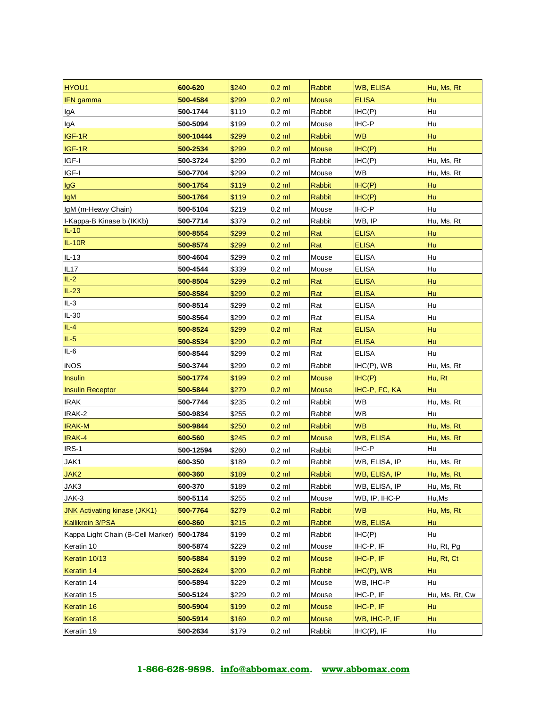| HYOU1                               | 600-620   | \$240 | $0.2$ ml | <b>Rabbit</b> | <b>WB, ELISA</b>     | Hu, Ms, Rt     |
|-------------------------------------|-----------|-------|----------|---------------|----------------------|----------------|
| <b>IFN</b> gamma                    | 500-4584  | \$299 | $0.2$ ml | <b>Mouse</b>  | <b>ELISA</b>         | Hu             |
| lgA                                 | 500-1744  | \$119 | $0.2$ ml | Rabbit        | IHC(P)               | Hu             |
| lgA                                 | 500-5094  | \$199 | $0.2$ ml | Mouse         | IHC-P                | Hu             |
| IGF-1R                              | 500-10444 | \$299 | $0.2$ ml | <b>Rabbit</b> | <b>WB</b>            | Hu             |
| IGF-1R                              | 500-2534  | \$299 | $0.2$ ml | <b>Mouse</b>  | IHC(P)               | Hu             |
| IGF-I                               | 500-3724  | \$299 | $0.2$ ml | Rabbit        | IHC(P)               | Hu, Ms, Rt     |
| IGF-I                               | 500-7704  | \$299 | $0.2$ ml | Mouse         | <b>WB</b>            | Hu, Ms, Rt     |
| <b>IgG</b>                          | 500-1754  | \$119 | $0.2$ ml | <b>Rabbit</b> | IHC(P)               | Hu             |
| <b>IgM</b>                          | 500-1764  | \$119 | $0.2$ ml | Rabbit        | IHC(P)               | Hu             |
| IgM (m-Heavy Chain)                 | 500-5104  | \$219 | $0.2$ ml | Mouse         | IHC-P                | Hu             |
| I-Kappa-B Kinase b (IKKb)           | 500-7714  | \$379 | $0.2$ ml | Rabbit        | WB, IP               | Hu, Ms, Rt     |
| $IL-10$                             | 500-8554  | \$299 | $0.2$ ml | Rat           | <b>ELISA</b>         | Hu             |
| $IL-10R$                            | 500-8574  | \$299 | $0.2$ ml | Rat           | <b>ELISA</b>         | Hu             |
| $IL-13$                             | 500-4604  | \$299 | $0.2$ ml | Mouse         | <b>ELISA</b>         | Hu             |
| IL17                                | 500-4544  | \$339 | $0.2$ ml | Mouse         | <b>ELISA</b>         | Hu             |
| $IL-2$                              | 500-8504  | \$299 | $0.2$ ml | Rat           | <b>ELISA</b>         | Hu             |
| $IL-23$                             | 500-8584  | \$299 | $0.2$ ml | Rat           | <b>ELISA</b>         | Hu             |
| $IL-3$                              | 500-8514  | \$299 | $0.2$ ml | Rat           | <b>ELISA</b>         | Hu             |
| IL-30                               | 500-8564  | \$299 | $0.2$ ml | Rat           | <b>ELISA</b>         | Hu             |
| $IL-4$                              | 500-8524  | \$299 | $0.2$ ml | Rat           | <b>ELISA</b>         | Hu             |
| $IL-5$                              | 500-8534  | \$299 | $0.2$ ml | Rat           | <b>ELISA</b>         | Hu             |
| IL-6                                | 500-8544  | \$299 | $0.2$ ml | Rat           | <b>ELISA</b>         | Hu             |
| <b>iNOS</b>                         | 500-3744  | \$299 | $0.2$ ml | Rabbit        | $IHC(P)$ , WB        | Hu, Ms, Rt     |
| Insulin                             | 500-1774  | \$199 | $0.2$ ml | <b>Mouse</b>  | IHC(P)               | Hu, Rt         |
| <b>Insulin Receptor</b>             | 500-5844  | \$279 | $0.2$ ml | Mouse         | IHC-P, FC, KA        | Hu             |
| <b>IRAK</b>                         | 500-7744  | \$235 | $0.2$ ml | Rabbit        | WB                   | Hu, Ms, Rt     |
| IRAK-2                              | 500-9834  | \$255 | $0.2$ ml | Rabbit        | <b>WB</b>            | Hu             |
| <b>IRAK-M</b>                       | 500-9844  | \$250 | $0.2$ ml | Rabbit        | <b>WB</b>            | Hu, Ms, Rt     |
| IRAK-4                              | 600-560   | \$245 | $0.2$ ml | <b>Mouse</b>  | <b>WB, ELISA</b>     | Hu, Ms, Rt     |
| IRS-1                               | 500-12594 | \$260 | $0.2$ ml | Rabbit        | IHC-P                | Hu             |
| JAK1                                | 600-350   | \$189 | $0.2$ ml | Rabbit        | WB, ELISA, IP        | Hu, Ms, Rt     |
| JAK2                                | 600-360   | \$189 | $0.2$ ml | Rabbit        | <b>WB, ELISA, IP</b> | Hu, Ms, Rt     |
| JAK3                                | 600-370   | \$189 | $0.2$ ml | Rabbit        | WB, ELISA, IP        | Hu, Ms, Rt     |
| JAK-3                               | 500-5114  | \$255 | $0.2$ ml | Mouse         | WB, IP, IHC-P        | Hu, Ms         |
| <b>JNK Activating kinase (JKK1)</b> | 500-7764  | \$279 | $0.2$ ml | <b>Rabbit</b> | <b>WB</b>            | Hu, Ms, Rt     |
| Kallikrein 3/PSA                    | 600-860   | \$215 | $0.2$ ml | Rabbit        | <b>WB, ELISA</b>     | Hu             |
| Kappa Light Chain (B-Cell Marker)   | 500-1784  | \$199 | $0.2$ ml | Rabbit        | IHC(P)               | Hu             |
| Keratin 10                          | 500-5874  | \$229 | $0.2$ ml | Mouse         | IHC-P, IF            | Hu, Rt, Pg     |
| Keratin 10/13                       | 500-5884  | \$199 | $0.2$ ml | <b>Mouse</b>  | IHC-P, IF            | Hu, Rt, Ct     |
| Keratin 14                          | 500-2624  | \$209 | $0.2$ ml | Rabbit        | $IHC(P)$ , WB        | Hu             |
| Keratin 14                          | 500-5894  | \$229 | $0.2$ ml | Mouse         | WB, IHC-P            | Hu             |
| Keratin 15                          | 500-5124  | \$229 | $0.2$ ml | Mouse         | IHC-P, IF            | Hu, Ms, Rt, Cw |
| Keratin 16                          | 500-5904  | \$199 | $0.2$ ml | <b>Mouse</b>  | IHC-P, IF            | Hu             |
| Keratin 18                          | 500-5914  | \$169 | $0.2$ ml | <b>Mouse</b>  | WB, IHC-P, IF        | Hu             |
| Keratin 19                          | 500-2634  | \$179 | $0.2$ ml | Rabbit        | $IHC(P)$ , IF        | Hu             |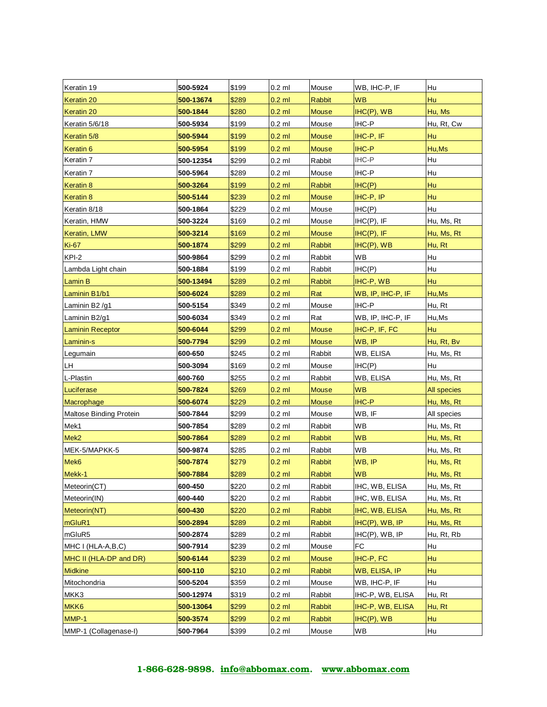| Keratin 19              | 500-5924  | \$199 | $0.2$ ml | Mouse         | WB, IHC-P, IF     | Hu          |
|-------------------------|-----------|-------|----------|---------------|-------------------|-------------|
| Keratin 20              | 500-13674 | \$289 | $0.2$ ml | <b>Rabbit</b> | <b>WB</b>         | Hu          |
| Keratin 20              | 500-1844  | \$280 | $0.2$ ml | <b>Mouse</b>  | $IHC(P)$ , WB     | Hu, Ms      |
| Keratin 5/6/18          | 500-5934  | \$199 | $0.2$ ml | Mouse         | IHC-P             | Hu, Rt, Cw  |
| Keratin 5/8             | 500-5944  | \$199 | $0.2$ ml | <b>Mouse</b>  | IHC-P, IF         | <b>Hu</b>   |
| Keratin <sub>6</sub>    | 500-5954  | \$199 | $0.2$ ml | <b>Mouse</b>  | <b>IHC-P</b>      | Hu, Ms      |
| Keratin <sub>7</sub>    | 500-12354 | \$299 | $0.2$ ml | Rabbit        | IHC-P             | Hu          |
| Keratin 7               | 500-5964  | \$289 | $0.2$ ml | Mouse         | IHC-P             | Hu          |
| Keratin 8               | 500-3264  | \$199 | $0.2$ ml | <b>Rabbit</b> | IHC(P)            | Hu          |
| Keratin <sub>8</sub>    | 500-5144  | \$239 | $0.2$ ml | <b>Mouse</b>  | IHC-P, IP         | Hu          |
| Keratin 8/18            | 500-1864  | \$229 | $0.2$ ml | Mouse         | IHC(P)            | Hu          |
| Keratin, HMW            | 500-3224  | \$169 | $0.2$ ml | Mouse         | $IHC(P)$ , IF     | Hu, Ms, Rt  |
| Keratin, LMW            | 500-3214  | \$169 | $0.2$ ml | <b>Mouse</b>  | $H C(P)$ , IF     | Hu, Ms, Rt  |
| <b>Ki-67</b>            | 500-1874  | \$299 | $0.2$ ml | Rabbit        | $HC(P)$ , WB      | Hu, Rt      |
| KPI-2                   | 500-9864  | \$299 | $0.2$ ml | Rabbit        | WB                | Hu          |
| Lambda Light chain      | 500-1884  | \$199 | $0.2$ ml | Rabbit        | IHC(P)            | Hu          |
| Lamin B                 | 500-13494 | \$289 | $0.2$ ml | Rabbit        | IHC-P, WB         | Hu          |
| Laminin B1/b1           | 500-6024  | \$289 | $0.2$ ml | Rat           | WB, IP, IHC-P, IF | Hu, Ms      |
| Laminin B2/g1           | 500-5154  | \$349 | $0.2$ ml | Mouse         | IHC-P             | Hu, Rt      |
| Laminin B2/g1           | 500-6034  | \$349 | $0.2$ ml | Rat           | WB, IP, IHC-P, IF | Hu, Ms      |
| <b>Laminin Receptor</b> | 500-6044  | \$299 | $0.2$ ml | <b>Mouse</b>  | IHC-P, IF, FC     | <b>Hu</b>   |
| Laminin-s               | 500-7794  | \$299 | $0.2$ ml | <b>Mouse</b>  | WB, IP            | Hu, Rt, Bv  |
| Legumain                | 600-650   | \$245 | $0.2$ ml | Rabbit        | WB, ELISA         | Hu, Ms, Rt  |
| LH                      | 500-3094  | \$169 | $0.2$ ml | Mouse         | IHC(P)            | Hu          |
| L-Plastin               | 600-760   | \$255 | $0.2$ ml | Rabbit        | WB, ELISA         | Hu, Ms, Rt  |
| Luciferase              | 500-7824  | \$269 | $0.2$ ml | <b>Mouse</b>  | <b>WB</b>         | All species |
| Macrophage              | 500-6074  | \$229 | $0.2$ ml | <b>Mouse</b>  | <b>IHC-P</b>      | Hu, Ms, Rt  |
| Maltose Binding Protein | 500-7844  | \$299 | $0.2$ ml | Mouse         | WB, IF            | All species |
| Mek1                    | 500-7854  | \$289 | $0.2$ ml | Rabbit        | WB                | Hu, Ms, Rt  |
| Mek <sub>2</sub>        | 500-7864  | \$289 | $0.2$ ml | Rabbit        | <b>WB</b>         | Hu, Ms, Rt  |
| MEK-5/MAPKK-5           | 500-9874  | \$285 | $0.2$ ml | Rabbit        | WB                | Hu, Ms, Rt  |
| Mek6                    | 500-7874  | \$279 | $0.2$ ml | <b>Rabbit</b> | WB, IP            | Hu, Ms, Rt  |
| Mekk-1                  | 500-7884  | \$289 | $0.2$ ml | Rabbit        | <b>WB</b>         | Hu, Ms, Rt  |
| Meteorin(CT)            | 600-450   | \$220 | $0.2$ ml | Rabbit        | IHC, WB, ELISA    | Hu, Ms, Rt  |
| Meteorin(IN)            | 600-440   | \$220 | $0.2$ ml | Rabbit        | IHC, WB, ELISA    | Hu, Ms, Rt  |
| Meteorin(NT)            | 600-430   | \$220 | $0.2$ ml | <b>Rabbit</b> | IHC, WB, ELISA    | Hu, Ms, Rt  |
| mGluR1                  | 500-2894  | \$289 | $0.2$ ml | Rabbit        | $HC(P)$ , WB, IP  | Hu, Ms, Rt  |
| mGluR5                  | 500-2874  | \$289 | $0.2$ ml | Rabbit        | $IHC(P)$ , WB, IP | Hu, Rt, Rb  |
| MHC I (HLA-A,B,C)       | 500-7914  | \$239 | $0.2$ ml | Mouse         | FC                | Hu          |
| MHC II (HLA-DP and DR)  | 500-6144  | \$239 | $0.2$ ml | <b>Mouse</b>  | IHC-P, FC         | Hu          |
| <b>Midkine</b>          | 600-110   | \$210 | $0.2$ ml | Rabbit        | WB, ELISA, IP     | Hu          |
| Mitochondria            | 500-5204  | \$359 | $0.2$ ml | Mouse         | WB, IHC-P, IF     | Hu          |
| MKK3                    | 500-12974 | \$319 | $0.2$ ml | Rabbit        | IHC-P, WB, ELISA  | Hu, Rt      |
| MKK6                    | 500-13064 | \$299 | $0.2$ ml | <b>Rabbit</b> | IHC-P, WB, ELISA  | Hu, Rt      |
| MMP-1                   | 500-3574  | \$299 | $0.2$ ml | Rabbit        | $HC(P)$ , WB      | Hu          |
| MMP-1 (Collagenase-I)   | 500-7964  | \$399 | $0.2$ ml | Mouse         | WB                | Hu          |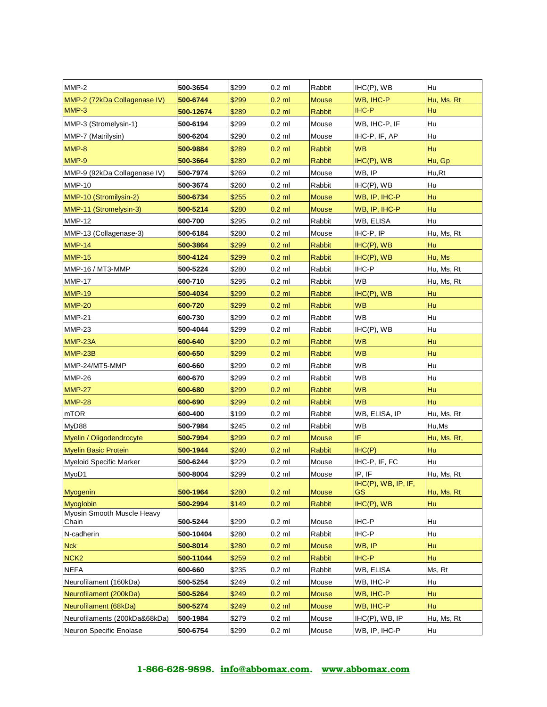| MMP-2                                   | 500-3654  | \$299 | $0.2$ ml | Rabbit        | $IHC(P)$ , WB       | Hu          |
|-----------------------------------------|-----------|-------|----------|---------------|---------------------|-------------|
| MMP-2 (72kDa Collagenase IV)            | 500-6744  | \$299 | $0.2$ ml | <b>Mouse</b>  | WB, IHC-P           | Hu, Ms, Rt  |
| MMP-3                                   | 500-12674 | \$289 | $0.2$ ml | <b>Rabbit</b> | <b>IHC-P</b>        | Hu          |
| MMP-3 (Stromelysin-1)                   | 500-6194  | \$299 | $0.2$ ml | Mouse         | WB, IHC-P, IF       | Hu          |
| MMP-7 (Matrilysin)                      | 500-6204  | \$290 | $0.2$ ml | Mouse         | IHC-P, IF, AP       | Hu          |
| MMP-8                                   | 500-9884  | \$289 | $0.2$ ml | Rabbit        | <b>WB</b>           | Hu          |
| MMP-9                                   | 500-3664  | \$289 | $0.2$ ml | <b>Rabbit</b> | $IHC(P)$ , WB       | Hu, Gp      |
| MMP-9 (92kDa Collagenase IV)            | 500-7974  | \$269 | $0.2$ ml | Mouse         | WB, IP              | Hu,Rt       |
| <b>MMP-10</b>                           | 500-3674  | \$260 | $0.2$ ml | Rabbit        | $IHC(P)$ , WB       | Hu          |
| MMP-10 (Stromilysin-2)                  | 500-6734  | \$255 | $0.2$ ml | <b>Mouse</b>  | WB, IP, IHC-P       | Hu          |
| MMP-11 (Stromelysin-3)                  | 500-5214  | \$280 | $0.2$ ml | <b>Mouse</b>  | WB, IP, IHC-P       | Hu          |
| <b>MMP-12</b>                           | 600-700   | \$295 | $0.2$ ml | Rabbit        | WB, ELISA           | Hu          |
| MMP-13 (Collagenase-3)                  | 500-6184  | \$280 | $0.2$ ml | Mouse         | IHC-P, IP           | Hu, Ms, Rt  |
| <b>MMP-14</b>                           | 500-3864  | \$299 | $0.2$ ml | Rabbit        | $IHC(P)$ , WB       | Hu          |
| <b>MMP-15</b>                           | 500-4124  | \$299 | $0.2$ ml | <b>Rabbit</b> | $IHC(P)$ , WB       | Hu, Ms      |
| MMP-16 / MT3-MMP                        | 500-5224  | \$280 | $0.2$ ml | Rabbit        | IHC-P               | Hu, Ms, Rt  |
| <b>MMP-17</b>                           | 600-710   | \$295 | $0.2$ ml | Rabbit        | WВ                  | Hu, Ms, Rt  |
| <b>MMP-19</b>                           | 500-4034  | \$299 | $0.2$ ml | <b>Rabbit</b> | $IHC(P)$ , WB       | Hu          |
| <b>MMP-20</b>                           | 600-720   | \$299 | $0.2$ ml | <b>Rabbit</b> | <b>WB</b>           | Hu          |
| <b>MMP-21</b>                           | 600-730   | \$299 | $0.2$ ml | Rabbit        | WВ                  | Hu          |
| <b>MMP-23</b>                           | 500-4044  | \$299 | $0.2$ ml | Rabbit        | $IHC(P)$ , WB       | Hu          |
| MMP-23A                                 | 600-640   | \$299 | $0.2$ ml | Rabbit        | WB                  | Hu          |
| MMP-23B                                 | 600-650   | \$299 | $0.2$ ml | <b>Rabbit</b> | <b>WB</b>           | Hu          |
| MMP-24/MT5-MMP                          | 600-660   | \$299 | $0.2$ ml | Rabbit        | <b>WB</b>           | Hu          |
| <b>MMP-26</b>                           | 600-670   | \$299 | $0.2$ ml | Rabbit        | <b>WB</b>           | Hu          |
| <b>MMP-27</b>                           | 600-680   | \$299 | $0.2$ ml | <b>Rabbit</b> | <b>WB</b>           | Hu          |
| <b>MMP-28</b>                           | 600-690   | \$299 | $0.2$ ml | <b>Rabbit</b> | <b>WB</b>           | Hu          |
| mTOR                                    | 600-400   | \$199 | $0.2$ ml | Rabbit        | WB, ELISA, IP       | Hu, Ms, Rt  |
| MyD88                                   | 500-7984  | \$245 | $0.2$ ml | Rabbit        | <b>WB</b>           | Hu, Ms      |
| Myelin / Oligodendrocyte                | 500-7994  | \$299 | $0.2$ ml | <b>Mouse</b>  | IF                  | Hu, Ms, Rt, |
| <b>Myelin Basic Protein</b>             | 500-1944  | \$240 | $0.2$ ml | <b>Rabbit</b> | IHC(P)              | Hu          |
| <b>Myeloid Specific Marker</b>          | 500-6244  | \$229 | $0.2$ ml | Mouse         | IHC-P, IF, FC       | Hu          |
| MyoD1                                   | 500-8004  | \$299 | $0.2$ ml | Mouse         | IP, IF              | Hu, Ms, Rt  |
|                                         |           |       |          |               | IHC(P), WB, IP, IF, |             |
| <b>Myogenin</b>                         | 500-1964  | \$280 | $0.2$ ml | <b>Mouse</b>  | GS                  | Hu, Ms, Rt  |
| Myoglobin<br>Myosin Smooth Muscle Heavy | 500-2994  | \$149 | $0.2$ ml | <b>Rabbit</b> | $IHC(P)$ , WB       | Hu          |
| Chain                                   | 500-5244  | \$299 | $0.2$ ml | Mouse         | IHC-P               | Hu          |
| N-cadherin                              | 500-10404 | \$280 | $0.2$ ml | Rabbit        | IHC-P               | Hu          |
| <b>Nck</b>                              | 500-8014  | \$280 | $0.2$ ml | <b>Mouse</b>  | WB, IP              | Hu          |
| NCK <sub>2</sub>                        | 500-11044 | \$259 | $0.2$ ml | <b>Rabbit</b> | IHC-P               | Hu          |
| <b>NEFA</b>                             | 600-660   | \$235 | $0.2$ ml | Rabbit        | WB, ELISA           | Ms, Rt      |
| Neurofilament (160kDa)                  | 500-5254  | \$249 | $0.2$ ml | Mouse         | WB, IHC-P           | Hu          |
| Neurofilament (200kDa)                  | 500-5264  | \$249 | $0.2$ ml | <b>Mouse</b>  | WB, IHC-P           | Hu          |
| Neurofilament (68kDa)                   | 500-5274  | \$249 | $0.2$ ml | <b>Mouse</b>  | WB, IHC-P           | Hu          |
| Neurofilaments (200kDa&68kDa)           | 500-1984  | \$279 | $0.2$ ml | Mouse         | IHC(P), WB, IP      | Hu, Ms, Rt  |
| Neuron Specific Enolase                 | 500-6754  | \$299 | $0.2$ ml | Mouse         | WB, IP, IHC-P       | Hu          |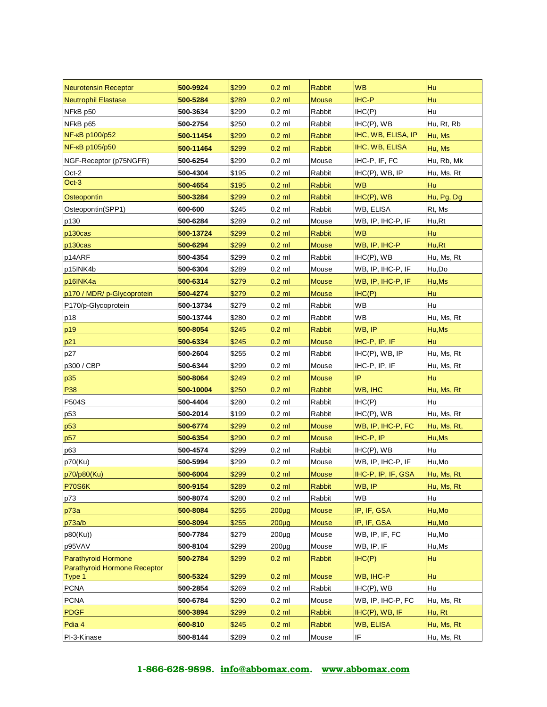| <b>Neurotensin Receptor</b>  | 500-9924             | \$299          | $0.2$ ml             | <b>Rabbit</b>          | <b>WB</b>                              | Hu                   |
|------------------------------|----------------------|----------------|----------------------|------------------------|----------------------------------------|----------------------|
| <b>Neutrophil Elastase</b>   | 500-5284             | \$289          | $0.2$ ml             | <b>Mouse</b>           | <b>IHC-P</b>                           | Hu                   |
| NFkB p50                     | 500-3634             | \$299          | $0.2$ ml             | Rabbit                 | IHC(P)                                 | Hu                   |
| NFkB p65                     | 500-2754             | \$250          | $0.2$ ml             | Rabbit                 | $IHC(P)$ , WB                          | Hu, Rt, Rb           |
| NF-кВ р100/р52               | 500-11454            | \$299          | $0.2$ ml             | <b>Rabbit</b>          | IHC, WB, ELISA, IP                     | Hu, Ms               |
| NF-кВ р105/р50               | 500-11464            | \$299          | $0.2$ ml             | <b>Rabbit</b>          | IHC, WB, ELISA                         | Hu, Ms               |
| NGF-Receptor (p75NGFR)       | 500-6254             | \$299          | $0.2$ ml             | Mouse                  | IHC-P, IF, FC                          | Hu, Rb, Mk           |
| Oct-2                        | 500-4304             | \$195          | $0.2$ ml             | Rabbit                 | $IHC(P)$ , $WB$ , $IP$                 | Hu, Ms, Rt           |
| Oct-3                        | 500-4654             | \$195          | $0.2$ ml             | <b>Rabbit</b>          | <b>WB</b>                              | <b>Hu</b>            |
| Osteopontin                  | 500-3284             | \$299          | $0.2$ ml             | Rabbit                 | $IHC(P)$ , WB                          | Hu, Pg, Dg           |
| Osteopontin(SPP1)            | 600-600              | \$245          | $0.2$ ml             | Rabbit                 | WB, ELISA                              | Rt, Ms               |
| p130                         | 500-6284             | \$289          | $0.2$ ml             | Mouse                  | WB, IP, IHC-P, IF                      | Hu,Rt                |
| p130cas                      | 500-13724            | \$299          | $0.2$ ml             | <b>Rabbit</b>          | <b>WB</b>                              | Hu                   |
| p130cas                      | 500-6294             | \$299          | $0.2$ ml             | <b>Mouse</b>           | WB, IP, IHC-P                          | Hu,Rt                |
| p14ARF                       | 500-4354             | \$299          | $0.2$ ml             | Rabbit                 | $IHC(P)$ , WB                          | Hu, Ms, Rt           |
| p15INK4b                     | 500-6304             | \$289          | $0.2$ ml             | Mouse                  | WB, IP, IHC-P, IF                      | Hu,Do                |
| p16INK4a                     | 500-6314             | \$279          | $0.2$ ml             | <b>Mouse</b>           | WB, IP, IHC-P, IF                      | Hu, Ms               |
| p170 / MDR/ p-Glycoprotein   | 500-4274             | \$279          | $0.2$ ml             | <b>Mouse</b>           | H C(P)                                 | Hu                   |
| P170/p-Glycoprotein          | 500-13734            | \$279          | $0.2$ ml             | Rabbit                 | WВ                                     | Hu                   |
| p18                          | 500-13744            | \$280          | $0.2$ ml             | Rabbit                 | WB                                     | Hu, Ms, Rt           |
| p19                          | 500-8054             | \$245          | $0.2$ ml             | Rabbit                 | WB, IP                                 | Hu, Ms               |
| p21                          | 500-6334             | \$245          | $0.2$ ml             | <b>Mouse</b>           | IHC-P, IP, IF                          | Hu                   |
| p27                          | 500-2604             | \$255          | $0.2$ ml             | Rabbit                 | $HC(P)$ , WB, IP                       | Hu, Ms, Rt           |
| p300 / CBP                   | 500-6344             | \$299          | $0.2$ ml             | Mouse                  | IHC-P, IP, IF                          | Hu, Ms, Rt           |
| p35                          | 500-8064             | \$249          | $0.2$ ml             | <b>Mouse</b>           | IP                                     | Hu                   |
| P38                          | 500-10004            | \$250          | $0.2$ ml             | <b>Rabbit</b>          | WB, IHC                                | Hu, Ms, Rt           |
| P504S                        | 500-4404             | \$280          | $0.2$ ml             | Rabbit                 | IHC(P)                                 | Hu                   |
| p53                          | 500-2014             | \$199          | $0.2$ ml             | Rabbit                 | $IHC(P)$ , WB                          | Hu, Ms, Rt           |
| p53                          | 500-6774             | \$299          | $0.2$ ml             | <b>Mouse</b>           | WB, IP, IHC-P, FC                      | Hu, Ms, Rt,          |
| p57                          | 500-6354             | \$290          | $0.2$ ml             | <b>Mouse</b>           | IHC-P, IP                              | Hu, Ms               |
| p63                          | 500-4574             | \$299          | $0.2$ ml             | Rabbit                 | $IHC(P)$ , WB                          | Hu                   |
| p70(Ku)                      | 500-5994             | \$299          | $0.2$ ml             | Mouse                  | WB, IP, IHC-P, IF                      | Hu,Mo                |
| p70/p80(Ku)                  | 500-6004             | \$299          | $0.2$ ml             | <b>Mouse</b>           | IHC-P, IP, IF, GSA                     | Hu, Ms, Rt           |
| <b>P70S6K</b>                | 500-9154             | \$289          | $0.2$ ml             | Rabbit                 | WB, IP                                 | Hu, Ms, Rt           |
| p73                          | 500-8074             | \$280          | $0.2$ ml             | Rabbit                 | WB                                     | Hu                   |
| p73a                         | 500-8084             | \$255          | $200\mug$            | <b>Mouse</b>           | IP, IF, GSA                            | Hu, Mo               |
| p73a/b                       | 500-8094             | \$255          | $200\mug$            | <b>Mouse</b>           | IP, IF, GSA                            | Hu, Mo               |
| p80(Ku))                     | 500-7784             | \$279          | $200\mug$            | Mouse                  | WB, IP, IF, FC                         | Hu, Mo               |
| p95VAV                       | 500-8104             | \$299          | $200\mug$            | Mouse                  | WB, IP, IF                             | Hu, Ms               |
| Parathyroid Hormone          | 500-2784             | \$299          | $0.2$ ml             | <b>Rabbit</b>          | IHC(P)                                 | Hu                   |
| Parathyroid Hormone Receptor | 500-5324             |                |                      |                        |                                        |                      |
| Type 1<br><b>PCNA</b>        | 500-2854             | \$299<br>\$269 | $0.2$ ml             | <b>Mouse</b><br>Rabbit | WB, IHC-P                              | Hu<br>Hu             |
|                              |                      |                | $0.2$ ml             |                        | $IHC(P)$ , WB                          |                      |
| <b>PCNA</b><br><b>PDGF</b>   | 500-6784<br>500-3894 | \$290<br>\$299 | $0.2$ ml<br>$0.2$ ml | Mouse<br><b>Rabbit</b> | WB, IP, IHC-P, FC<br>$IHC(P)$ , WB, IF | Hu, Ms, Rt<br>Hu, Rt |
| Pdia 4                       | 600-810              | \$245          |                      | Rabbit                 |                                        |                      |
|                              |                      |                | $0.2$ ml             |                        | WB, ELISA                              | Hu, Ms, Rt           |
| PI-3-Kinase                  | 500-8144             | \$289          | $0.2$ ml             | Mouse                  | IF                                     | Hu, Ms, Rt           |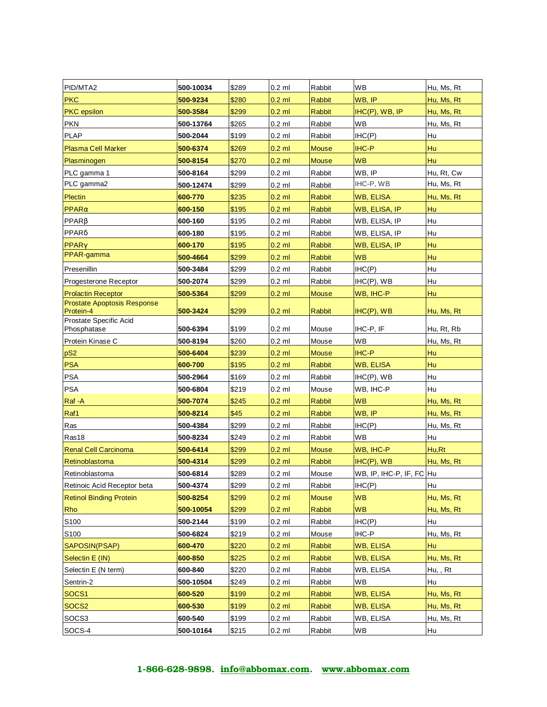| PID/MTA2                              | 500-10034 | \$289 | $0.2$ ml | Rabbit        | <b>WB</b>                | Hu, Ms, Rt |
|---------------------------------------|-----------|-------|----------|---------------|--------------------------|------------|
| <b>PKC</b>                            | 500-9234  | \$280 | $0.2$ ml | <b>Rabbit</b> | WB, IP                   | Hu, Ms, Rt |
| <b>PKC</b> epsilon                    | 500-3584  | \$299 | $0.2$ ml | <b>Rabbit</b> | $IHC(P)$ , $WB$ , $IP$   | Hu, Ms, Rt |
| <b>PKN</b>                            | 500-13764 | \$265 | $0.2$ ml | Rabbit        | <b>WB</b>                | Hu, Ms, Rt |
| <b>PLAP</b>                           | 500-2044  | \$199 | $0.2$ ml | Rabbit        | IHC(P)                   | Hu         |
| <b>Plasma Cell Marker</b>             | 500-6374  | \$269 | $0.2$ ml | <b>Mouse</b>  | <b>IHC-P</b>             | Hu         |
| Plasminogen                           | 500-8154  | \$270 | $0.2$ ml | <b>Mouse</b>  | <b>WB</b>                | Hu         |
| PLC gamma 1                           | 500-8164  | \$299 | $0.2$ ml | Rabbit        | WB, IP                   | Hu, Rt, Cw |
| PLC gamma2                            | 500-12474 | \$299 | $0.2$ ml | Rabbit        | IHC-P, WB                | Hu, Ms, Rt |
| Plectin                               | 600-770   | \$235 | $0.2$ ml | <b>Rabbit</b> | <b>WB, ELISA</b>         | Hu, Ms, Rt |
| $PPAR\alpha$                          | 600-150   | \$195 | $0.2$ ml | Rabbit        | WB, ELISA, IP            | Hu         |
| $PPAR\beta$                           | 600-160   | \$195 | $0.2$ ml | Rabbit        | WB, ELISA, IP            | Hu         |
| PPARδ                                 | 600-180   | \$195 | $0.2$ ml | Rabbit        | WB, ELISA, IP            | Hu         |
| $PPAR\gamma$                          | 600-170   | \$195 | $0.2$ ml | <b>Rabbit</b> | WB, ELISA, IP            | Hu         |
| PPAR-gamma                            | 500-4664  | \$299 | $0.2$ ml | <b>Rabbit</b> | <b>WB</b>                | Hu         |
| Presenillin                           | 500-3484  | \$299 | $0.2$ ml | Rabbit        | IHC(P)                   | Hu         |
| Progesterone Receptor                 | 500-2074  | \$299 | $0.2$ ml | Rabbit        | $IHC(P)$ , WB            | Hu         |
| <b>Prolactin Receptor</b>             | 500-5364  | \$299 | $0.2$ ml | <b>Mouse</b>  | WB, IHC-P                | Hu         |
| <b>Prostate Apoptosis Response</b>    |           |       |          |               |                          |            |
| Protein-4                             | 500-3424  | \$299 | $0.2$ ml | <b>Rabbit</b> | $HC(P)$ , WB             | Hu, Ms, Rt |
| Prostate Specific Acid<br>Phosphatase | 500-6394  | \$199 | $0.2$ ml | Mouse         | IHC-P, IF                | Hu, Rt, Rb |
| Protein Kinase C                      | 500-8194  | \$260 | $0.2$ ml | Mouse         | <b>WB</b>                | Hu, Ms, Rt |
| pS <sub>2</sub>                       | 500-6404  | \$239 | $0.2$ ml | <b>Mouse</b>  | <b>IHC-P</b>             | Hu         |
| <b>PSA</b>                            | 600-700   | \$195 | $0.2$ ml | <b>Rabbit</b> | <b>WB, ELISA</b>         | Hu         |
| <b>PSA</b>                            | 500-2964  | \$169 | $0.2$ ml | Rabbit        | $IHC(P)$ , WB            | Hu         |
| <b>PSA</b>                            | 500-6804  | \$219 | $0.2$ ml | Mouse         | WB, IHC-P                | Hu         |
| Raf-A                                 | 500-7074  | \$245 | $0.2$ ml | <b>Rabbit</b> | <b>WB</b>                | Hu, Ms, Rt |
| Raf1                                  | 500-8214  | \$45  | $0.2$ ml | <b>Rabbit</b> | WB, IP                   | Hu, Ms, Rt |
| Ras                                   | 500-4384  | \$299 | $0.2$ ml | Rabbit        | IHC(P)                   | Hu, Ms, Rt |
| Ras18                                 | 500-8234  | \$249 | $0.2$ ml | Rabbit        | <b>WB</b>                | Hu         |
| <b>Renal Cell Carcinoma</b>           | 500-6414  | \$299 | $0.2$ ml | <b>Mouse</b>  | WB, IHC-P                | Hu,Rt      |
| Retinoblastoma                        | 500-4314  | \$299 | $0.2$ ml | <b>Rabbit</b> | $IHC(P)$ , WB            | Hu, Ms, Rt |
| Retinoblastoma                        | 500-6814  | \$289 | $0.2$ ml | Mouse         | WB, IP, IHC-P, IF, FC Hu |            |
| Retinoic Acid Receptor beta           | 500-4374  | \$299 | $0.2$ ml | Rabbit        | IHC(P)                   | Hu         |
| <b>Retinol Binding Protein</b>        | 500-8254  | \$299 | $0.2$ ml | <b>Mouse</b>  | <b>WB</b>                | Hu, Ms, Rt |
| <b>Rho</b>                            | 500-10054 | \$299 | $0.2$ ml | <b>Rabbit</b> | <b>WB</b>                | Hu, Ms, Rt |
| S100                                  | 500-2144  | \$199 | $0.2$ ml | Rabbit        | IHC(P)                   | Hu         |
| S100                                  | 500-6824  | \$219 | $0.2$ ml | Mouse         | IHC-P                    | Hu, Ms, Rt |
| SAPOSIN(PSAP)                         | 600-470   | \$220 | $0.2$ ml | <b>Rabbit</b> | WB, ELISA                | Hu         |
| Selectin E (IN)                       | 600-850   | \$225 | $0.2$ ml | <b>Rabbit</b> | WB, ELISA                | Hu, Ms, Rt |
| Selectin E (N term)                   | 600-840   | \$220 | $0.2$ ml | Rabbit        | WB, ELISA                | Hu,, Rt    |
| Sentrin-2                             | 500-10504 | \$249 | $0.2$ ml | Rabbit        | WB                       | Hu         |
| SOCS <sub>1</sub>                     | 600-520   | \$199 | $0.2$ ml | Rabbit        | <b>WB, ELISA</b>         | Hu, Ms, Rt |
| SOCS <sub>2</sub>                     | 600-530   | \$199 | $0.2$ ml | Rabbit        | <b>WB, ELISA</b>         | Hu, Ms, Rt |
| SOCS3                                 | 600-540   | \$199 | $0.2$ ml | Rabbit        | WB, ELISA                | Hu, Ms, Rt |
|                                       |           |       |          |               |                          |            |
| SOCS-4                                | 500-10164 | \$215 | $0.2$ ml | Rabbit        | WB                       | Hu         |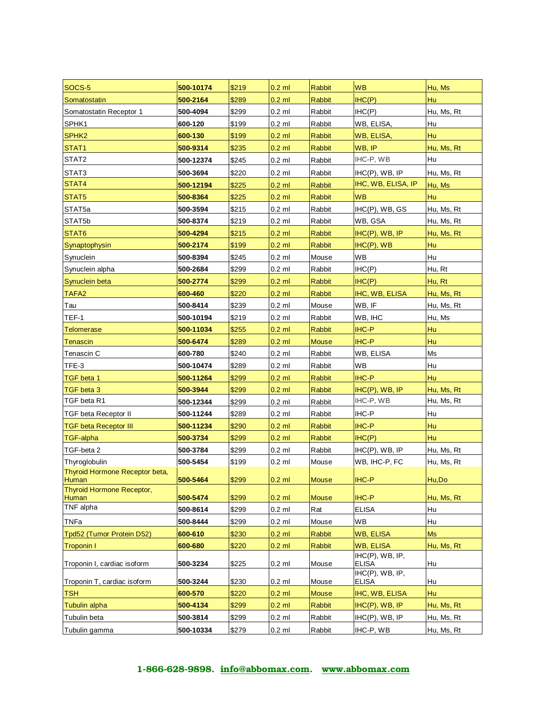| SOCS-5                                    | 500-10174 | \$219 | $0.2$ ml | <b>Rabbit</b> | <b>WB</b>                       | Hu, Ms     |
|-------------------------------------------|-----------|-------|----------|---------------|---------------------------------|------------|
| Somatostatin                              | 500-2164  | \$289 | $0.2$ ml | <b>Rabbit</b> | IHC(P)                          | Hu         |
| Somatostatin Receptor 1                   | 500-4094  | \$299 | $0.2$ ml | Rabbit        | IHC(P)                          | Hu, Ms, Rt |
| SPHK1                                     | 600-120   | \$199 | $0.2$ ml | Rabbit        | WB, ELISA,                      | Hu         |
| SPHK <sub>2</sub>                         | 600-130   | \$199 | $0.2$ ml | Rabbit        | WB, ELISA,                      | Hu         |
| STAT1                                     | 500-9314  | \$235 | $0.2$ ml | Rabbit        | WB, IP                          | Hu, Ms, Rt |
| STAT2                                     | 500-12374 | \$245 | $0.2$ ml | Rabbit        | IHC-P, WB                       | Hu         |
| STAT3                                     | 500-3694  | \$220 | $0.2$ ml | Rabbit        | $IHC(P)$ , WB, IP               | Hu, Ms, Rt |
| STAT4                                     | 500-12194 | \$225 | $0.2$ ml | <b>Rabbit</b> | IHC, WB, ELISA, IP              | Hu, Ms     |
| STAT5                                     | 500-8364  | \$225 | $0.2$ ml | <b>Rabbit</b> | <b>WB</b>                       | Hu         |
| STAT <sub>5a</sub>                        | 500-3594  | \$215 | $0.2$ ml | Rabbit        | IHC(P), WB, GS                  | Hu, Ms, Rt |
| STAT5b                                    | 500-8374  | \$219 | $0.2$ ml | Rabbit        | WB, GSA                         | Hu, Ms, Rt |
| STAT6                                     | 500-4294  | \$215 | $0.2$ ml | Rabbit        | $IHC(P)$ , WB, IP               | Hu, Ms, Rt |
| Synaptophysin                             | 500-2174  | \$199 | $0.2$ ml | <b>Rabbit</b> | $IHC(P)$ , WB                   | Hu         |
| Synuclein                                 | 500-8394  | \$245 | $0.2$ ml | Mouse         | WB                              | Hu         |
| Synuclein alpha                           | 500-2684  | \$299 | $0.2$ ml | Rabbit        | IHC(P)                          | Hu, Rt     |
| Synuclein beta                            | 500-2774  | \$299 | $0.2$ ml | Rabbit        | IHC(P)                          | Hu, Rt     |
| TAFA <sub>2</sub>                         | 600-460   | \$220 | $0.2$ ml | <b>Rabbit</b> | IHC, WB, ELISA                  | Hu, Ms, Rt |
| Tau                                       | 500-8414  | \$239 | $0.2$ ml | Mouse         | WB, IF                          | Hu, Ms, Rt |
| TEF-1                                     | 500-10194 | \$219 | $0.2$ ml | Rabbit        | WB, IHC                         | Hu, Ms     |
| Telomerase                                | 500-11034 | \$255 | $0.2$ ml | <b>Rabbit</b> | <b>IHC-P</b>                    | Hu         |
| Tenascin                                  | 500-6474  | \$289 | $0.2$ ml | <b>Mouse</b>  | <b>IHC-P</b>                    | Hu         |
| Tenascin C                                | 600-780   | \$240 | $0.2$ ml | Rabbit        | WB, ELISA                       | Ms         |
| TFE-3                                     | 500-10474 | \$289 | $0.2$ ml | Rabbit        | WB                              | Hu         |
| TGF beta 1                                | 500-11264 | \$299 | $0.2$ ml | Rabbit        | IHC-P                           | Hu         |
| TGF beta 3                                | 500-3944  | \$299 | $0.2$ ml | Rabbit        | $IHC(P)$ , WB, IP               | Hu, Ms, Rt |
| TGF beta R1                               | 500-12344 | \$299 | $0.2$ ml | Rabbit        | IHC-P, WB                       | Hu, Ms, Rt |
| <b>TGF beta Receptor II</b>               | 500-11244 | \$289 | $0.2$ ml | Rabbit        | IHC-P                           | Hu         |
| TGF beta Receptor III                     | 500-11234 | \$290 | $0.2$ ml | <b>Rabbit</b> | <b>IHC-P</b>                    | Hu         |
| <b>TGF-alpha</b>                          | 500-3734  | \$299 | $0.2$ ml | Rabbit        | IHC(P)                          | Hu         |
| TGF-beta 2                                | 500-3784  | \$299 | $0.2$ ml | Rabbit        | $IHC(P)$ , WB, IP               | Hu, Ms, Rt |
| Thyroglobulin                             | 500-5454  | \$199 | $0.2$ ml | Mouse         | WB, IHC-P, FC                   | Hu, Ms, Rt |
| Thyroid Hormone Receptor beta,            |           |       |          |               |                                 |            |
| Human                                     | 500-5464  | \$299 | $0.2$ ml | Mouse         | <b>IHC-P</b>                    | Hu,Do      |
| <b>Thyroid Hormone Receptor,</b><br>Human | 500-5474  | \$299 | $0.2$ ml | <b>Mouse</b>  | <b>IHC-P</b>                    | Hu, Ms, Rt |
| TNF alpha                                 | 500-8614  | \$299 | $0.2$ ml | Rat           | <b>ELISA</b>                    | Hu         |
| <b>TNFa</b>                               | 500-8444  | \$299 | $0.2$ ml | Mouse         | WB                              | Hu         |
| Tpd52 (Tumor Protein D52)                 | 600-610   | \$230 | $0.2$ ml | <b>Rabbit</b> | <b>WB, ELISA</b>                | <b>Ms</b>  |
| <b>Troponin I</b>                         | 600-680   | \$220 | $0.2$ ml | <b>Rabbit</b> | <b>WB, ELISA</b>                | Hu, Ms, Rt |
|                                           |           |       |          |               | IHC(P), WB, IP,                 |            |
| Troponin I, cardiac isoform               | 500-3234  | \$225 | $0.2$ ml | Mouse         | <b>ELISA</b>                    | Hu         |
| Troponin T, cardiac isoform               | 500-3244  | \$230 | $0.2$ ml | Mouse         | IHC(P), WB, IP,<br><b>ELISA</b> | Hu         |
| <b>TSH</b>                                | 600-570   | \$220 | $0.2$ ml | <b>Mouse</b>  | IHC, WB, ELISA                  | Hu         |
| <b>Tubulin alpha</b>                      | 500-4134  | \$299 | $0.2$ ml | <b>Rabbit</b> | $HC(P)$ , WB, IP                | Hu, Ms, Rt |
| Tubulin beta                              | 500-3814  | \$299 | $0.2$ ml | Rabbit        | $IHC(P)$ , $WB$ , $IP$          | Hu, Ms, Rt |
| Tubulin gamma                             | 500-10334 | \$279 | $0.2$ ml | Rabbit        | IHC-P, WB                       | Hu, Ms, Rt |
|                                           |           |       |          |               |                                 |            |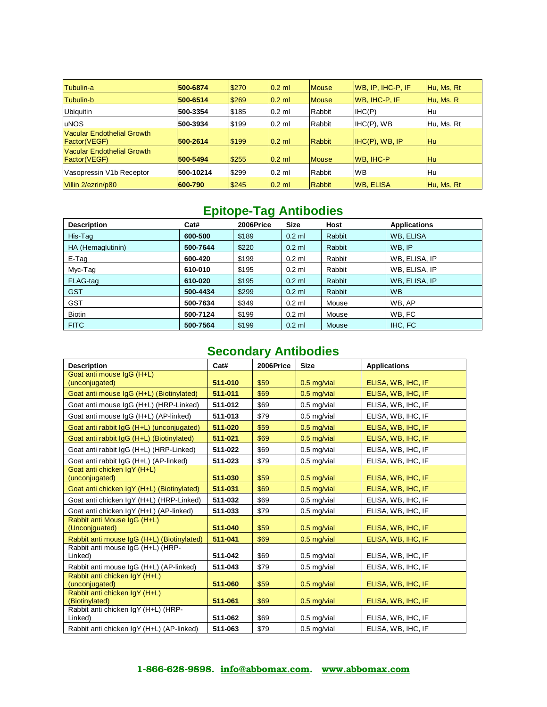| Tubulin-a                                                 | 500-6874  | \$270 | $0.2$ ml | <b>Mouse</b>  | WB, IP, IHC-P, IF    | Hu, Ms, Rt |
|-----------------------------------------------------------|-----------|-------|----------|---------------|----------------------|------------|
| Tubulin-b                                                 | 500-6514  | \$269 | $0.2$ ml | <b>Mouse</b>  | <b>WB, IHC-P, IF</b> | Hu, Ms, R  |
| <b>Ubiquitin</b>                                          | 500-3354  | \$185 | $0.2$ ml | Rabbit        | IHC(P)               | Hu         |
| <b>uNOS</b>                                               | 500-3934  | \$199 | $0.2$ ml | Rabbit        | $IHC(P)$ , WB        | Hu, Ms, Rt |
| Vacular Endothelial Growth<br><b>Factor</b> (VEGF)        | 500-2614  | \$199 | $0.2$ ml | <b>Rabbit</b> | IHC(P), WB, IP       | <b>Hu</b>  |
| <b>Vacular Endothelial Growth</b><br><b>Factor</b> (VEGF) | 500-5494  | \$255 | $0.2$ ml | <b>Mouse</b>  | <b>WB, IHC-P</b>     | Hu         |
| Vasopressin V1b Receptor                                  | 500-10214 | \$299 | $0.2$ ml | Rabbit        | <b>WB</b>            | Hu         |
| Villin 2/ezrin/p80                                        | 600-790   | \$245 | $0.2$ ml | <b>Rabbit</b> | <b>WB. ELISA</b>     | Hu, Ms, Rt |

# **Epitope-Tag Antibodies**

| <b>Description</b> | Cat#     | 2006Price | <b>Size</b> | <b>Host</b> | <b>Applications</b> |
|--------------------|----------|-----------|-------------|-------------|---------------------|
| His-Tag            | 600-500  | \$189     | $0.2$ ml    | Rabbit      | WB, ELISA           |
| HA (Hemaglutinin)  | 500-7644 | \$220     | $0.2$ ml    | Rabbit      | WB, IP              |
| E-Tag              | 600-420  | \$199     | $0.2$ ml    | Rabbit      | WB, ELISA, IP       |
| Myc-Tag            | 610-010  | \$195     | $0.2$ ml    | Rabbit      | WB, ELISA, IP       |
| FLAG-tag           | 610-020  | \$195     | $0.2$ ml    | Rabbit      | WB, ELISA, IP       |
| <b>GST</b>         | 500-4434 | \$299     | $0.2$ ml    | Rabbit      | <b>WB</b>           |
| <b>GST</b>         | 500-7634 | \$349     | $0.2$ ml    | Mouse       | WB. AP              |
| <b>Biotin</b>      | 500-7124 | \$199     | $0.2$ ml    | Mouse       | WB. FC              |
| <b>FITC</b>        | 500-7564 | \$199     | $0.2$ ml    | Mouse       | IHC, FC             |

# **Secondary Antibodies**

| <b>Description</b>                              | Cat#    | 2006Price | <b>Size</b>   | <b>Applications</b> |
|-------------------------------------------------|---------|-----------|---------------|---------------------|
| Goat anti mouse IgG (H+L)                       |         |           |               |                     |
| (unconjugated)                                  | 511-010 | \$59      | $0.5$ mg/vial | ELISA, WB, IHC, IF  |
| Goat anti mouse IgG (H+L) (Biotinylated)        | 511-011 | \$69      | $0.5$ mg/vial | ELISA, WB, IHC, IF  |
| Goat anti mouse IgG (H+L) (HRP-Linked)          | 511-012 | \$69      | $0.5$ mg/vial | ELISA, WB, IHC, IF  |
| Goat anti mouse IgG (H+L) (AP-linked)           | 511-013 | \$79      | $0.5$ mg/vial | ELISA, WB, IHC, IF  |
| Goat anti rabbit IgG (H+L) (unconjugated)       | 511-020 | \$59      | $0.5$ mg/vial | ELISA, WB, IHC, IF  |
| Goat anti rabbit IgG (H+L) (Biotinylated)       | 511-021 | \$69      | $0.5$ mg/vial | ELISA, WB, IHC, IF  |
| Goat anti rabbit IgG (H+L) (HRP-Linked)         | 511-022 | \$69      | $0.5$ mg/vial | ELISA, WB, IHC, IF  |
| Goat anti rabbit IgG (H+L) (AP-linked)          | 511-023 | \$79      | $0.5$ mg/vial | ELISA, WB, IHC, IF  |
| Goat anti chicken IgY (H+L)<br>(unconjugated)   | 511-030 | \$59      | $0.5$ mg/vial | ELISA, WB, IHC, IF  |
| Goat anti chicken IgY (H+L) (Biotinylated)      | 511-031 | \$69      | $0.5$ mg/vial | ELISA, WB, IHC, IF  |
| Goat anti chicken IgY (H+L) (HRP-Linked)        | 511-032 | \$69      | $0.5$ mg/vial | ELISA, WB, IHC, IF  |
| Goat anti chicken IgY (H+L) (AP-linked)         | 511-033 | \$79      | $0.5$ mg/vial | ELISA, WB, IHC, IF  |
| Rabbit anti Mouse IgG (H+L)<br>(Unconiguated)   | 511-040 | \$59      | $0.5$ mg/vial | ELISA, WB, IHC, IF  |
| Rabbit anti mouse IgG (H+L) (Biotinylated)      | 511-041 | \$69      | $0.5$ mg/vial | ELISA, WB, IHC, IF  |
| Rabbit anti mouse IqG (H+L) (HRP-<br>Linked)    | 511-042 | \$69      | $0.5$ mg/vial | ELISA, WB, IHC, IF  |
| Rabbit anti mouse IgG (H+L) (AP-linked)         | 511-043 | \$79      | $0.5$ mg/vial | ELISA, WB, IHC, IF  |
| Rabbit anti chicken IgY (H+L)<br>(unconjugated) | 511-060 | \$59      | $0.5$ mg/vial | ELISA, WB, IHC, IF  |
| Rabbit anti chicken IgY (H+L)<br>(Biotinylated) | 511-061 | \$69      | $0.5$ mg/vial | ELISA, WB, IHC, IF  |
| Rabbit anti chicken IgY (H+L) (HRP-<br>Linked)  | 511-062 | \$69      | $0.5$ mg/vial | ELISA, WB, IHC, IF  |
| Rabbit anti chicken IqY (H+L) (AP-linked)       | 511-063 | \$79      | $0.5$ mg/vial | ELISA, WB, IHC, IF  |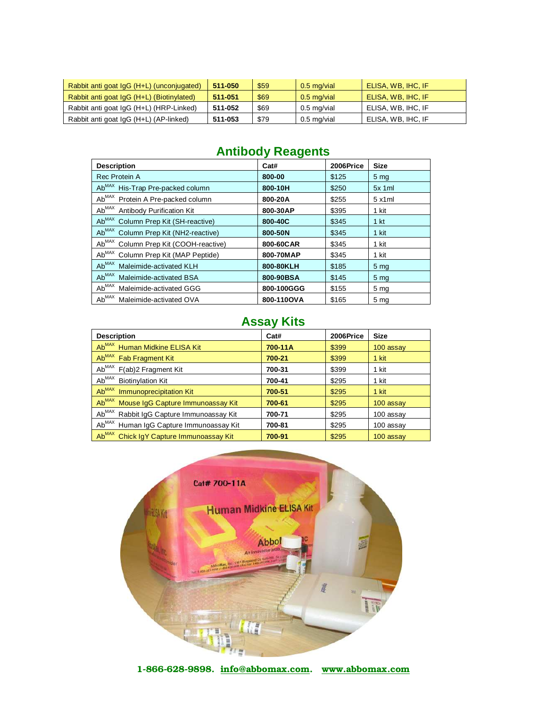| Rabbit anti goat IgG (H+L) (unconjugated) | 511-050 | \$59 | $0.5$ mg/vial | ELISA, WB, IHC, IF |
|-------------------------------------------|---------|------|---------------|--------------------|
| Rabbit anti goat IgG (H+L) (Biotinylated) | 511-051 | \$69 | $0.5$ mg/vial | ELISA, WB, IHC, IF |
| Rabbit anti goat IgG (H+L) (HRP-Linked)   | 511-052 | \$69 | 0.5 mg/vial   | ELISA, WB, IHC, IF |
| Rabbit anti goat IgG (H+L) (AP-linked)    | 511-053 | \$79 | 0.5 mg/vial   | ELISA, WB, IHC, IF |

# **Antibody Reagents**

| <b>Description</b>                                              | Cat#       | 2006Price | <b>Size</b>     |
|-----------------------------------------------------------------|------------|-----------|-----------------|
| Rec Protein A                                                   | 800-00     | \$125     | 5 <sub>mg</sub> |
| Ab <sup>MAX</sup><br>His-Trap Pre-packed column                 | 800-10H    | \$250     | $5x$ 1ml        |
| $Ab^{MAX}$<br>Protein A Pre-packed column                       | 800-20A    | \$255     | 5x1ml           |
| Ab <sup>MAX</sup><br><b>Antibody Purification Kit</b>           | 800-30AP   | \$395     | 1 kit           |
| Ab <sup>MAX</sup><br>Column Prep Kit (SH-reactive)              | 800-40C    | \$345     | 1 <sub>kt</sub> |
| Ab <sub>MAX</sub><br>Column Prep Kit (NH2-reactive)             | 800-50N    | \$345     | 1 kit           |
| $\mathsf{Ab}^{\mathsf{MAX}}$<br>Column Prep Kit (COOH-reactive) | 800-60CAR  | \$345     | 1 kit           |
| Ab <sup>MAX</sup><br>Column Prep Kit (MAP Peptide)              | 800-70MAP  | \$345     | 1 kit           |
| Ab <sup>MAX</sup><br>Maleimide-activated KLH                    | 800-80KLH  | \$185     | 5 <sub>mg</sub> |
| Ab <sup>MAX</sup><br>Maleimide-activated BSA                    | 800-90BSA  | \$145     | 5 <sub>mg</sub> |
| Ab <sup>MAX</sup><br>Maleimide-activated GGG                    | 800-100GGG | \$155     | 5 <sub>mg</sub> |
| Ab <sup>MAX</sup><br>Maleimide-activated OVA                    | 800-110OVA | \$165     | 5 mg            |

# **Assay Kits**

| <b>Description</b>                                   | Cat#    | 2006Price | <b>Size</b> |
|------------------------------------------------------|---------|-----------|-------------|
| Ab <sup>MAX</sup> Human Midkine ELISA Kit            | 700-11A | \$399     | 100 assay   |
| Ab <sup>MAX</sup> Fab Fragment Kit                   | 700-21  | \$399     | 1 kit       |
| Ab <sup>MAX</sup> F(ab)2 Fragment Kit                | 700-31  | \$399     | 1 kit       |
| Ab <sup>MAX</sup> Biotinylation Kit                  | 700-41  | \$295     | 1 kit       |
| Ab <sup>MAX</sup> Immunoprecipitation Kit            | 700-51  | \$295     | 1 kit       |
| Ab <sup>MAX</sup> Mouse IgG Capture Immunoassay Kit  | 700-61  | \$295     | 100 assay   |
| Ab <sup>MAX</sup> Rabbit IgG Capture Immunoassay Kit | 700-71  | \$295     | 100 assay   |
| Ab <sup>MAX</sup> Human IgG Capture Immunoassay Kit  | 700-81  | \$295     | 100 assay   |
| Ab <sup>MAX</sup> Chick IgY Capture Immunoassay Kit  | 700-91  | \$295     | 100 assay   |